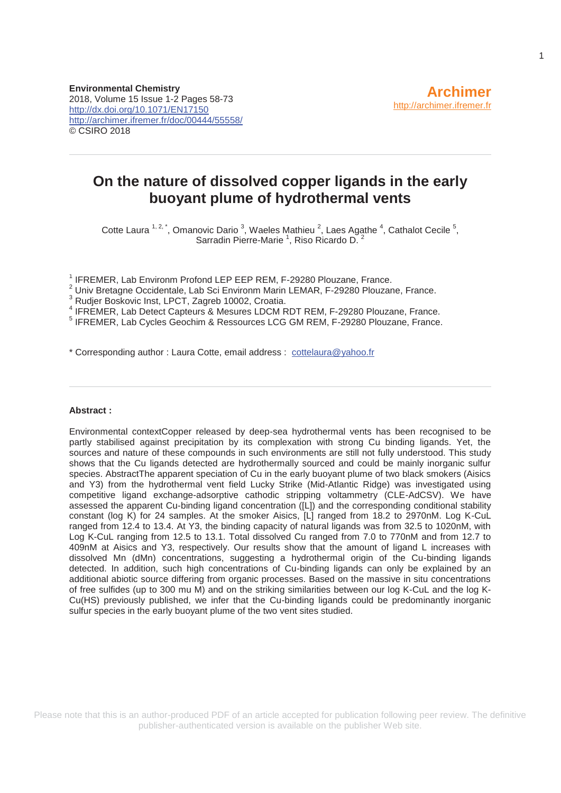# **On the nature of dissolved copper ligands in the early buoyant plume of hydrothermal vents**

Cotte Laura  $1, 2, 3$ , Omanovic Dario  $3$ , Waeles Mathieu  $2$ , Laes Agathe  $4$ , Cathalot Cecile  $5$ , Sarradin Pierre-Marie<sup>1</sup>, Riso Ricardo D.<sup>2</sup>

<sup>1</sup> IFREMER, Lab Environm Profond LEP EEP REM, F-29280 Plouzane, France.

<sup>1</sup> IFREMER, Lab Environm Profond LEP EEP REM, F-29280 Plouzane, France.<br><sup>2</sup> Univ Bretagne Occidentale, Lab Sci Environm Marin LEMAR, F-29280 Plouzane, France.

3 Rudjer Boskovic Inst, LPCT, Zagreb 10002, Croatia.

<sup>4</sup> IFREMER, Lab Detect Capteurs & Mesures LDCM RDT REM, F-29280 Plouzane, France.<br><sup>5</sup> IEREMER, Lab Cycles Capabim & Basseuress LCC CM REM, E 20280 Plouzane, France.

<sup>5</sup> IFREMER, Lab Cycles Geochim & Ressources LCG GM REM, F-29280 Plouzane, France.

\* Corresponding author : Laura Cotte, email address : cottelaura@yahoo.fr

#### **Abstract :**

Environmental contextCopper released by deep-sea hydrothermal vents has been recognised to be partly stabilised against precipitation by its complexation with strong Cu binding ligands. Yet, the sources and nature of these compounds in such environments are still not fully understood. This study shows that the Cu ligands detected are hydrothermally sourced and could be mainly inorganic sulfur species. AbstractThe apparent speciation of Cu in the early buoyant plume of two black smokers (Aisics and Y3) from the hydrothermal vent field Lucky Strike (Mid-Atlantic Ridge) was investigated using competitive ligand exchange-adsorptive cathodic stripping voltammetry (CLE-AdCSV). We have assessed the apparent Cu-binding ligand concentration ([L]) and the corresponding conditional stability constant (log K) for 24 samples. At the smoker Aisics, [L] ranged from 18.2 to 2970nM. Log K-CuL ranged from 12.4 to 13.4. At Y3, the binding capacity of natural ligands was from 32.5 to 1020nM, with Log K-CuL ranging from 12.5 to 13.1. Total dissolved Cu ranged from 7.0 to 770nM and from 12.7 to 409nM at Aisics and Y3, respectively. Our results show that the amount of ligand L increases with dissolved Mn (dMn) concentrations, suggesting a hydrothermal origin of the Cu-binding ligands detected. In addition, such high concentrations of Cu-binding ligands can only be explained by an additional abiotic source differing from organic processes. Based on the massive in situ concentrations of free sulfides (up to 300 mu M) and on the striking similarities between our log K-CuL and the log K-Cu(HS) previously published, we infer that the Cu-binding ligands could be predominantly inorganic sulfur species in the early buoyant plume of the two vent sites studied.

Please note that this is an author-produced PDF of an article accepted for publication following peer review. The definitive publisher-authenticated version is available on the publisher Web site.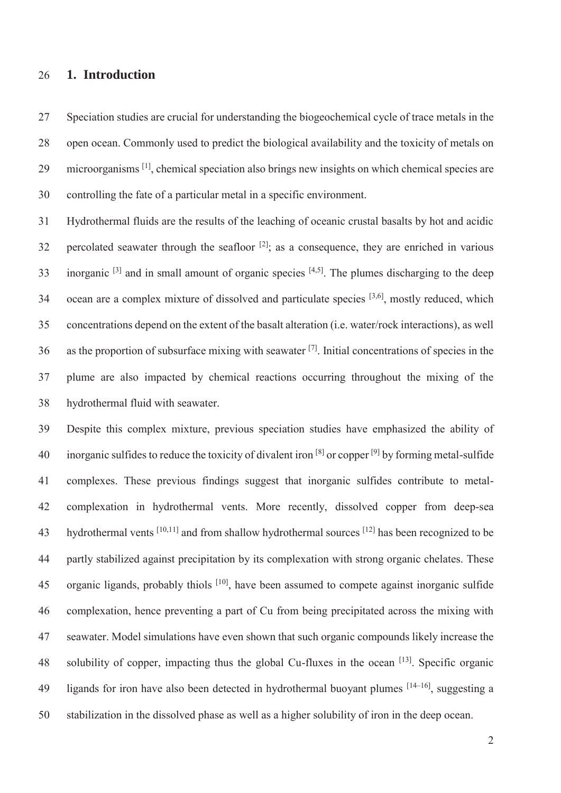#### 26 **1. Introduction**

27 Speciation studies are crucial for understanding the biogeochemical cycle of trace metals in the 28 open ocean. Commonly used to predict the biological availability and the toxicity of metals on 29 microorganisms  $\left[1\right]$ , chemical speciation also brings new insights on which chemical species are 30 controlling the fate of a particular metal in a specific environment.

31 Hydrothermal fluids are the results of the leaching of oceanic crustal basalts by hot and acidic 32 percolated seawater through the seafloor  $[2]$  as a consequence, they are enriched in various 33 inorganic  $[3]$  and in small amount of organic species  $[4,5]$ . The plumes discharging to the deep 34  $\alpha$  ocean are a complex mixture of dissolved and particulate species  $[3,6]$ , mostly reduced, which 35 concentrations depend on the extent of the basalt alteration (i.e. water/rock interactions), as well 36 as the proportion of subsurface mixing with seawater  $[7]$ . Initial concentrations of species in the 37 plume are also impacted by chemical reactions occurring throughout the mixing of the 38 hydrothermal fluid with seawater.

39 Despite this complex mixture, previous speciation studies have emphasized the ability of 40 inorganic sulfides to reduce the toxicity of divalent iron  $[8]$  or copper  $[9]$  by forming metal-sulfide 41 complexes. These previous findings suggest that inorganic sulfides contribute to metal-42 complexation in hydrothermal vents. More recently, dissolved copper from deep-sea 43 hydrothermal vents  $[10,11]$  and from shallow hydrothermal sources  $[12]$  has been recognized to be 44 partly stabilized against precipitation by its complexation with strong organic chelates. These 45 organic ligands, probably thiols <sup>[10]</sup>, have been assumed to compete against inorganic sulfide 46 complexation, hence preventing a part of Cu from being precipitated across the mixing with 47 seawater. Model simulations have even shown that such organic compounds likely increase the 48 solubility of copper, impacting thus the global Cu-fluxes in the ocean  $[13]$ . Specific organic 49 ligands for iron have also been detected in hydrothermal buoyant plumes  $[14-16]$ , suggesting a 50 stabilization in the dissolved phase as well as a higher solubility of iron in the deep ocean.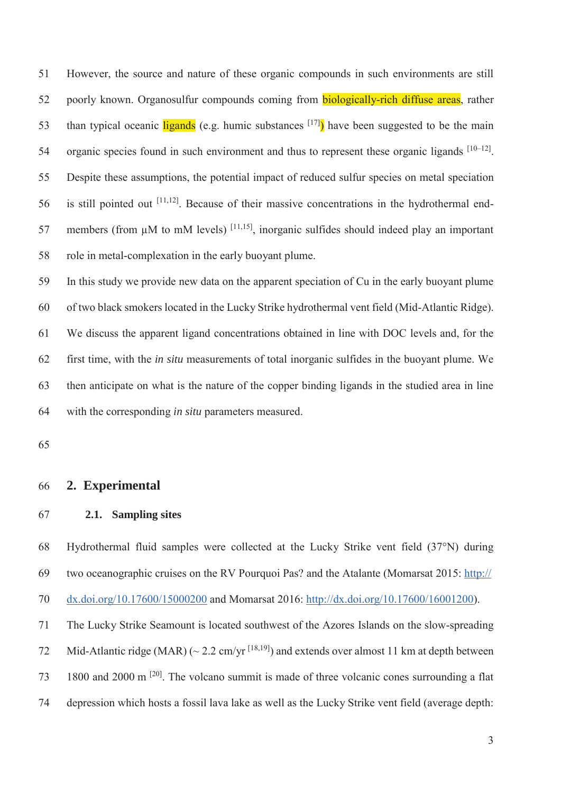51 However, the source and nature of these organic compounds in such environments are still 52 poorly known. Organosulfur compounds coming from **biologically-rich diffuse areas**, rather than typical oceanic ligands (e.g. humic substances  $[17]$ ) have been suggested to be the main 54 organic species found in such environment and thus to represent these organic ligands  $[10-12]$ . 55 Despite these assumptions, the potential impact of reduced sulfur species on metal speciation 56 is still pointed out  $[11,12]$ . Because of their massive concentrations in the hydrothermal end-57 members (from  $\mu$ M to mM levels) <sup>[11,15]</sup>, inorganic sulfides should indeed play an important 58 role in metal-complexation in the early buoyant plume.

59 In this study we provide new data on the apparent speciation of Cu in the early buoyant plume 60 of two black smokers located in the Lucky Strike hydrothermal vent field (Mid-Atlantic Ridge). 61 We discuss the apparent ligand concentrations obtained in line with DOC levels and, for the 62 first time, with the *in situ* measurements of total inorganic sulfides in the buoyant plume. We 63 then anticipate on what is the nature of the copper binding ligands in the studied area in line 64 with the corresponding *in situ* parameters measured.

65

### 66 **2. Experimental**

#### 67 **2.1. Sampling sites**

68 Hydrothermal fluid samples were collected at the Lucky Strike vent field (37°N) during 69 two oceanographic cruises on the RV Pourquoi Pas? and the Atalante (Momarsat 2015: http://

70 dx.doi.org/10.17600/15000200 and Momarsat 2016: http://dx.doi.org/10.17600/16001200).

71 The Lucky Strike Seamount is located southwest of the Azores Islands on the slow-spreading 72 Mid-Atlantic ridge (MAR) ( $\sim$  2.2 cm/yr <sup>[18,19]</sup>) and extends over almost 11 km at depth between 1800 and 2000 m [20] 73 . The volcano summit is made of three volcanic cones surrounding a flat 74 depression which hosts a fossil lava lake as well as the Lucky Strike vent field (average depth: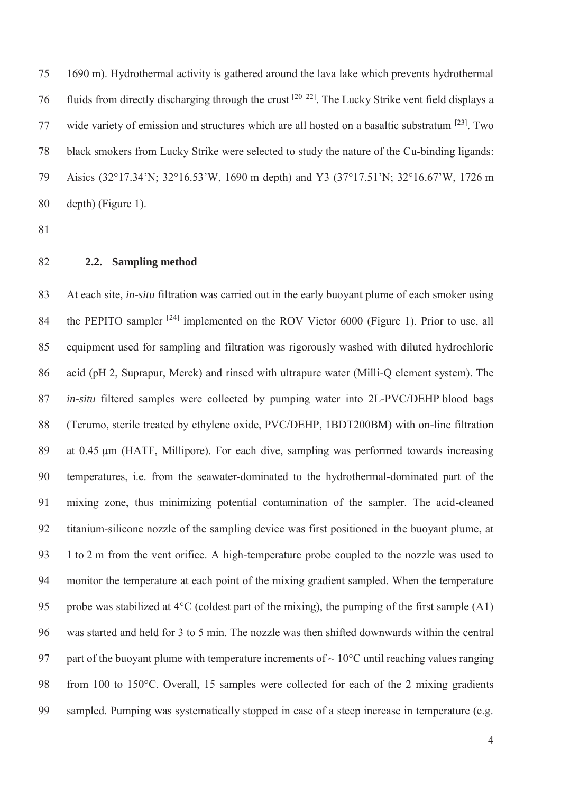75 1690 m). Hydrothermal activity is gathered around the lava lake which prevents hydrothermal 76 fluids from directly discharging through the crust  $[20-22]$ . The Lucky Strike vent field displays a 77 wide variety of emission and structures which are all hosted on a basaltic substratum <sup>[23]</sup>. Two 78 black smokers from Lucky Strike were selected to study the nature of the Cu-binding ligands: 79 Aisics (32°17.34'N; 32°16.53'W, 1690 m depth) and Y3 (37°17.51'N; 32°16.67'W, 1726 m 80 depth) (Figure 1).

- 81
- 82 **2.2. Sampling method**

83 At each site, *in-situ* filtration was carried out in the early buoyant plume of each smoker using 84 the PEPITO sampler  $[24]$  implemented on the ROV Victor 6000 (Figure 1). Prior to use, all 85 equipment used for sampling and filtration was rigorously washed with diluted hydrochloric 86 acid (pH 2, Suprapur, Merck) and rinsed with ultrapure water (Milli-Q element system). The 87 *in-situ* filtered samples were collected by pumping water into 2L-PVC/DEHP blood bags 88 (Terumo, sterile treated by ethylene oxide, PVC/DEHP, 1BDT200BM) with on-line filtration 89 at 0.45 μm (HATF, Millipore). For each dive, sampling was performed towards increasing 90 temperatures, i.e. from the seawater-dominated to the hydrothermal-dominated part of the 91 mixing zone, thus minimizing potential contamination of the sampler. The acid-cleaned 92 titanium-silicone nozzle of the sampling device was first positioned in the buoyant plume, at 93 1 to 2 m from the vent orifice. A high-temperature probe coupled to the nozzle was used to 94 monitor the temperature at each point of the mixing gradient sampled. When the temperature 95 probe was stabilized at 4°C (coldest part of the mixing), the pumping of the first sample (A1) 96 was started and held for 3 to 5 min. The nozzle was then shifted downwards within the central 97 part of the buoyant plume with temperature increments of  $\sim 10^{\circ}$ C until reaching values ranging 98 from 100 to 150°C. Overall, 15 samples were collected for each of the 2 mixing gradients 99 sampled. Pumping was systematically stopped in case of a steep increase in temperature (e.g.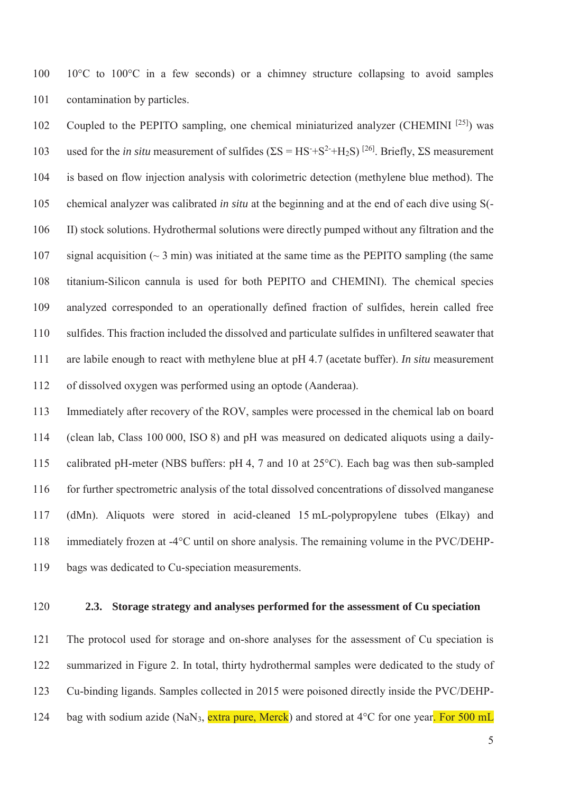100 10<sup>o</sup>C to 100<sup>o</sup>C in a few seconds) or a chimney structure collapsing to avoid samples 101 contamination by particles.

102 Coupled to the PEPITO sampling, one chemical miniaturized analyzer (CHEMINI [25]) was 103 used for the *in situ* measurement of sulfides ( $\Sigma S = HS + S^2 + H_2S$ )<sup>[26]</sup>. Briefly,  $\Sigma S$  measurement 104 is based on flow injection analysis with colorimetric detection (methylene blue method). The 105 chemical analyzer was calibrated *in situ* at the beginning and at the end of each dive using S(- 106 II) stock solutions. Hydrothermal solutions were directly pumped without any filtration and the 107 signal acquisition  $($   $\sim$  3 min) was initiated at the same time as the PEPITO sampling (the same 108 titanium-Silicon cannula is used for both PEPITO and CHEMINI). The chemical species 109 analyzed corresponded to an operationally defined fraction of sulfides, herein called free 110 sulfides. This fraction included the dissolved and particulate sulfides in unfiltered seawater that 111 are labile enough to react with methylene blue at pH 4.7 (acetate buffer). *In situ* measurement 112 of dissolved oxygen was performed using an optode (Aanderaa).

113 Immediately after recovery of the ROV, samples were processed in the chemical lab on board 114 (clean lab, Class 100 000, ISO 8) and pH was measured on dedicated aliquots using a daily-115 calibrated pH-meter (NBS buffers: pH 4, 7 and 10 at 25°C). Each bag was then sub-sampled 116 for further spectrometric analysis of the total dissolved concentrations of dissolved manganese 117 (dMn). Aliquots were stored in acid-cleaned 15 mL-polypropylene tubes (Elkay) and 118 immediately frozen at -4°C until on shore analysis. The remaining volume in the PVC/DEHP-119 bags was dedicated to Cu-speciation measurements.

# 120 **2.3. Storage strategy and analyses performed for the assessment of Cu speciation**

121 The protocol used for storage and on-shore analyses for the assessment of Cu speciation is 122 summarized in Figure 2. In total, thirty hydrothermal samples were dedicated to the study of 123 Cu-binding ligands. Samples collected in 2015 were poisoned directly inside the PVC/DEHP-124 bag with sodium azide (NaN<sub>3</sub>, extra pure, Merck) and stored at 4<sup>o</sup>C for one year. For 500 mL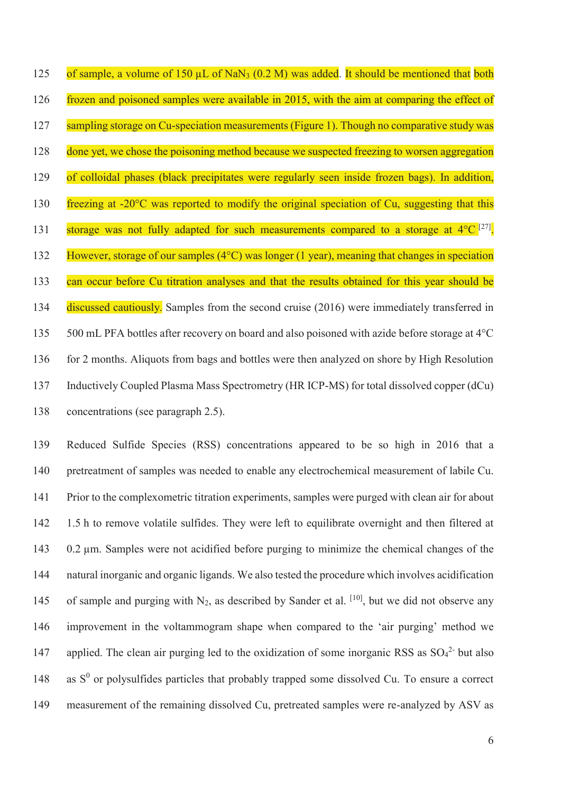125 of sample, a volume of 150  $\mu$ L of NaN<sub>3</sub> (0.2 M) was added. It should be mentioned that both 126 frozen and poisoned samples were available in 2015, with the aim at comparing the effect of 127 sampling storage on Cu-speciation measurements (Figure 1). Though no comparative study was 128 done yet, we chose the poisoning method because we suspected freezing to worsen aggregation 129 of colloidal phases (black precipitates were regularly seen inside frozen bags). In addition, 130 freezing at -20°C was reported to modify the original speciation of Cu, suggesting that this 131 storage was not fully adapted for such measurements compared to a storage at  $4^{\circ}C^{[27]}$ . 132 However, storage of our samples (4°C) was longer (1 year), meaning that changes in speciation 133 can occur before Cu titration analyses and that the results obtained for this year should be 134 discussed cautiously. Samples from the second cruise (2016) were immediately transferred in 135 500 mL PFA bottles after recovery on board and also poisoned with azide before storage at 4°C 136 for 2 months. Aliquots from bags and bottles were then analyzed on shore by High Resolution 137 Inductively Coupled Plasma Mass Spectrometry (HR ICP-MS) for total dissolved copper (dCu) 138 concentrations (see paragraph 2.5).

139 Reduced Sulfide Species (RSS) concentrations appeared to be so high in 2016 that a 140 pretreatment of samples was needed to enable any electrochemical measurement of labile Cu. 141 Prior to the complexometric titration experiments, samples were purged with clean air for about 142 1.5 h to remove volatile sulfides. They were left to equilibrate overnight and then filtered at 143 0.2 μm. Samples were not acidified before purging to minimize the chemical changes of the 144 natural inorganic and organic ligands. We also tested the procedure which involves acidification 145 of sample and purging with  $N_2$ , as described by Sander et al. <sup>[10]</sup>, but we did not observe any 146 improvement in the voltammogram shape when compared to the 'air purging' method we 147 applied. The clean air purging led to the oxidization of some inorganic RSS as  $SO<sub>4</sub><sup>2</sup>$  but also  $148$  as  $S^0$  or polysulfides particles that probably trapped some dissolved Cu. To ensure a correct 149 measurement of the remaining dissolved Cu, pretreated samples were re-analyzed by ASV as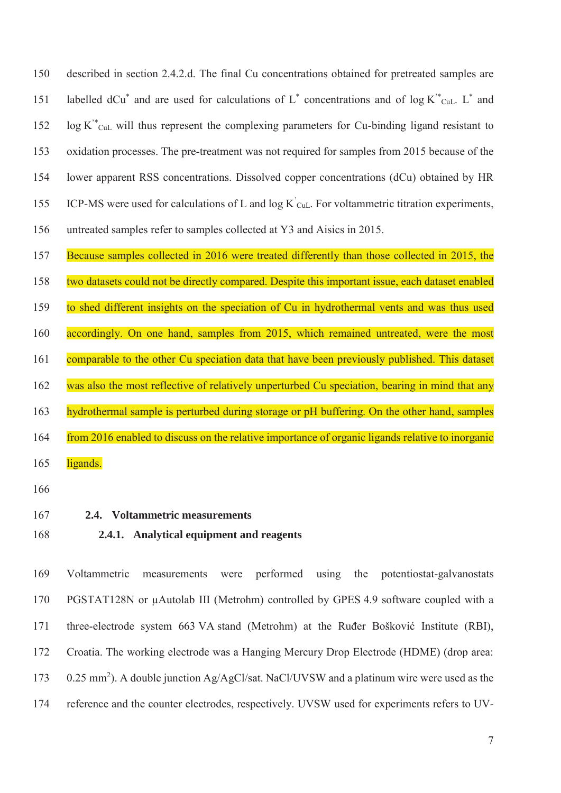150 described in section 2.4.2.d. The final Cu concentrations obtained for pretreated samples are 151 labelled dCu<sup>\*</sup> and are used for calculations of  $L^*$  concentrations and of log  $K^*_{\text{Cul.}} L^*$  and  $\log K^*_{\text{CuL}}$  will thus represent the complexing parameters for Cu-binding ligand resistant to 153 oxidation processes. The pre-treatment was not required for samples from 2015 because of the 154 lower apparent RSS concentrations. Dissolved copper concentrations (dCu) obtained by HR 155 ICP-MS were used for calculations of L and  $log K$ <sup> $c$ </sup>  $_{\text{CLL}}$ . For voltammetric titration experiments, 156 untreated samples refer to samples collected at Y3 and Aisics in 2015.

157 Because samples collected in 2016 were treated differently than those collected in 2015, the

158 two datasets could not be directly compared. Despite this important issue, each dataset enabled

159 to shed different insights on the speciation of Cu in hydrothermal vents and was thus used

160 accordingly. On one hand, samples from 2015, which remained untreated, were the most 161 comparable to the other Cu speciation data that have been previously published. This dataset 162 was also the most reflective of relatively unperturbed Cu speciation, bearing in mind that any

163 hydrothermal sample is perturbed during storage or pH buffering. On the other hand, samples

164 from 2016 enabled to discuss on the relative importance of organic ligands relative to inorganic

- 165 ligands.
- 166
- 167 **2.4. Voltammetric measurements**
- 168 **2.4.1. Analytical equipment and reagents**

169 Voltammetric measurements were performed using the potentiostat-galvanostats 170 PGSTAT128N or μAutolab III (Metrohm) controlled by GPES 4.9 software coupled with a 171 three-electrode system 663 VA stand (Metrohm) at the Ruđer Bošković Institute (RBI), 172 Croatia. The working electrode was a Hanging Mercury Drop Electrode (HDME) (drop area: 173 0.25 mm<sup>2</sup>). A double junction  $Ag/AgCl/sat$ . NaCl/UVSW and a platinum wire were used as the 174 reference and the counter electrodes, respectively. UVSW used for experiments refers to UV-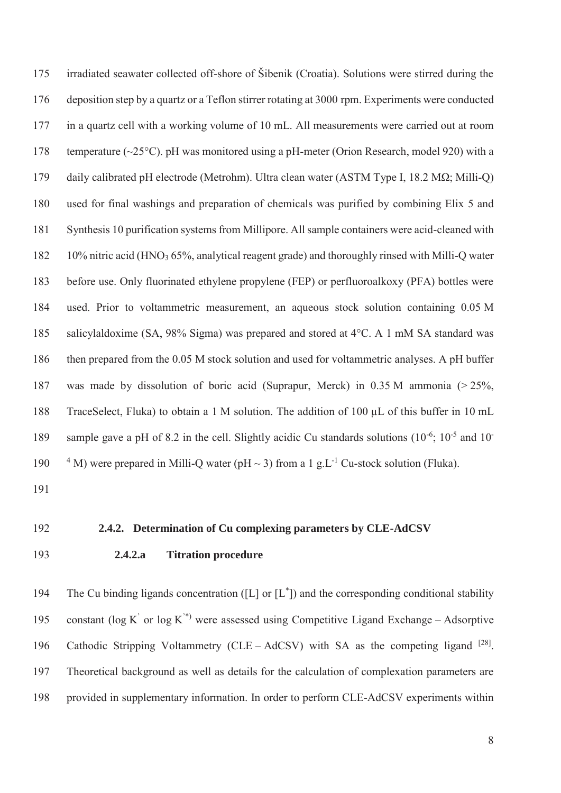175 irradiated seawater collected off-shore of Šibenik (Croatia). Solutions were stirred during the 176 deposition step by a quartz or a Teflon stirrer rotating at 3000 rpm. Experiments were conducted 177 in a quartz cell with a working volume of 10 mL. All measurements were carried out at room 178 temperature (~25°C). pH was monitored using a pH-meter (Orion Research, model 920) with a 179 daily calibrated pH electrode (Metrohm). Ultra clean water (ASTM Type I, 18.2 MΩ; Milli-Q) 180 used for final washings and preparation of chemicals was purified by combining Elix 5 and 181 Synthesis 10 purification systems from Millipore. All sample containers were acid-cleaned with 182 10% nitric acid (HNO3 65%, analytical reagent grade) and thoroughly rinsed with Milli-Q water 183 before use. Only fluorinated ethylene propylene (FEP) or perfluoroalkoxy (PFA) bottles were 184 used. Prior to voltammetric measurement, an aqueous stock solution containing 0.05 M 185 salicylaldoxime (SA, 98% Sigma) was prepared and stored at 4°C. A 1 mM SA standard was 186 then prepared from the 0.05 M stock solution and used for voltammetric analyses. A pH buffer 187 was made by dissolution of boric acid (Suprapur, Merck) in 0.35 M ammonia (> 25%, 188 TraceSelect, Fluka) to obtain a 1 M solution. The addition of 100 μL of this buffer in 10 mL 189 sample gave a pH of 8.2 in the cell. Slightly acidic Cu standards solutions  $(10^{-6}; 10^{-5} \text{ and } 10^{-18})$ 190  $^4$  M) were prepared in Milli-Q water (pH  $\sim$  3) from a 1 g.L<sup>-1</sup> Cu-stock solution (Fluka).

191

#### 192 **2.4.2. Determination of Cu complexing parameters by CLE-AdCSV**

# 193 **2.4.2.a Titration procedure**

194 The Cu binding ligands concentration ([L] or  $[L^*]$ ) and the corresponding conditional stability 195 constant ( $log K'$  or  $log K''$ ) were assessed using Competitive Ligand Exchange – Adsorptive 196 Cathodic Stripping Voltammetry (CLE – AdCSV) with SA as the competing ligand  $^{[28]}$ . 197 Theoretical background as well as details for the calculation of complexation parameters are 198 provided in supplementary information. In order to perform CLE-AdCSV experiments within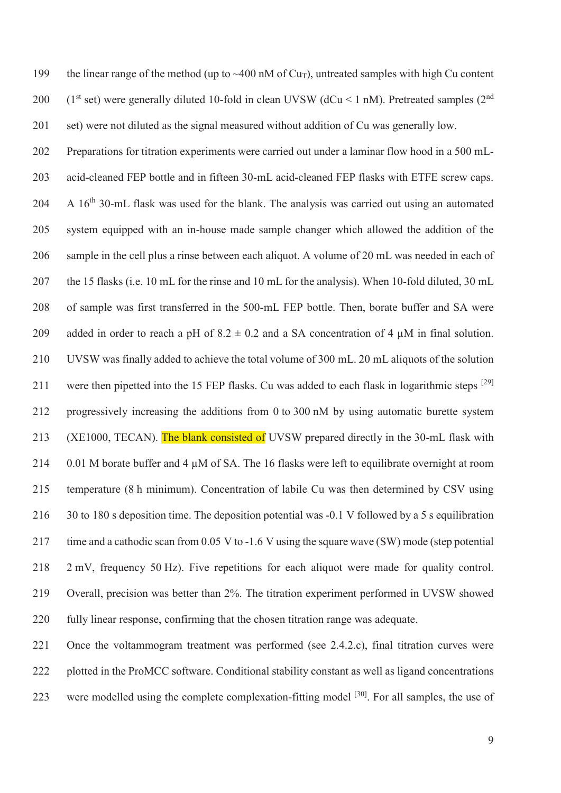199 the linear range of the method (up to  $\sim$  400 nM of Cu<sub>T</sub>), untreated samples with high Cu content 200 (1st set) were generally diluted 10-fold in clean UVSW ( $dCu < 1$  nM). Pretreated samples ( $2<sup>nd</sup>$ 201 set) were not diluted as the signal measured without addition of Cu was generally low.

202 Preparations for titration experiments were carried out under a laminar flow hood in a 500 mL-203 acid-cleaned FEP bottle and in fifteen 30-mL acid-cleaned FEP flasks with ETFE screw caps.  $204$  A 16<sup>th</sup> 30-mL flask was used for the blank. The analysis was carried out using an automated 205 system equipped with an in-house made sample changer which allowed the addition of the 206 sample in the cell plus a rinse between each aliquot. A volume of 20 mL was needed in each of 207 the 15 flasks (i.e. 10 mL for the rinse and 10 mL for the analysis). When 10-fold diluted, 30 mL 208 of sample was first transferred in the 500-mL FEP bottle. Then, borate buffer and SA were 209 added in order to reach a pH of  $8.2 \pm 0.2$  and a SA concentration of 4  $\mu$ M in final solution. 210 UVSW was finally added to achieve the total volume of 300 mL. 20 mL aliquots of the solution 211 were then pipetted into the 15 FEP flasks. Cu was added to each flask in logarithmic steps <sup>[29]</sup> 212 progressively increasing the additions from 0 to 300 nM by using automatic burette system 213 (XE1000, TECAN). The blank consisted of UVSW prepared directly in the 30-mL flask with 214 0.01 M borate buffer and 4 μM of SA. The 16 flasks were left to equilibrate overnight at room 215 temperature (8 h minimum). Concentration of labile Cu was then determined by CSV using 216 30 to 180 s deposition time. The deposition potential was -0.1 V followed by a 5 s equilibration 217 time and a cathodic scan from 0.05 V to -1.6 V using the square wave (SW) mode (step potential 218 2 mV, frequency 50 Hz). Five repetitions for each aliquot were made for quality control. 219 Overall, precision was better than 2%. The titration experiment performed in UVSW showed 220 fully linear response, confirming that the chosen titration range was adequate.

221 Once the voltammogram treatment was performed (see 2.4.2.c), final titration curves were 222 plotted in the ProMCC software. Conditional stability constant as well as ligand concentrations 223 were modelled using the complete complexation-fitting model <sup>[30]</sup>. For all samples, the use of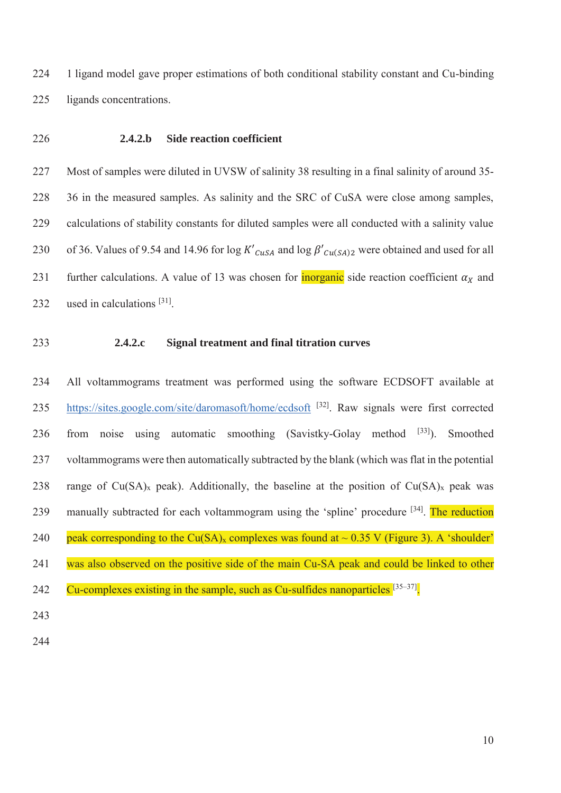224 1 ligand model gave proper estimations of both conditional stability constant and Cu-binding 225 ligands concentrations.

#### 226 **2.4.2.b Side reaction coefficient**

227 Most of samples were diluted in UVSW of salinity 38 resulting in a final salinity of around 35- 228 36 in the measured samples. As salinity and the SRC of CuSA were close among samples, 229 calculations of stability constants for diluted samples were all conducted with a salinity value 230 of 36. Values of 9.54 and 14.96 for log  $K'_{CUSA}$  and log  $\beta'_{CU(SA)2}$  were obtained and used for all 231 further calculations. A value of 13 was chosen for **inorganic** side reaction coefficient  $\alpha_X$  and 232 used in calculations  $[31]$ .

#### 233 **2.4.2.c Signal treatment and final titration curves**

234 All voltammograms treatment was performed using the software ECDSOFT available at 235 https://sites.google.com/site/daromasoft/home/ecdsoft <sup>[32]</sup>. Raw signals were first corrected 236 from noise using automatic smoothing (Savistky-Golay method  $[33]$ ). Smoothed 237 voltammograms were then automatically subtracted by the blank (which was flat in the potential 238 range of  $Cu(SA)_x$  peak). Additionally, the baseline at the position of  $Cu(SA)_x$  peak was 239 manually subtracted for each voltammogram using the 'spline' procedure  $[34]$ . The reduction 240 peak corresponding to the Cu(SA)<sub>x</sub> complexes was found at  $\sim$  0.35 V (Figure 3). A 'shoulder' 241 was also observed on the positive side of the main Cu-SA peak and could be linked to other 242  $\degree$  Cu-complexes existing in the sample, such as Cu-sulfides nanoparticles  $^{[35-37]}$ . 243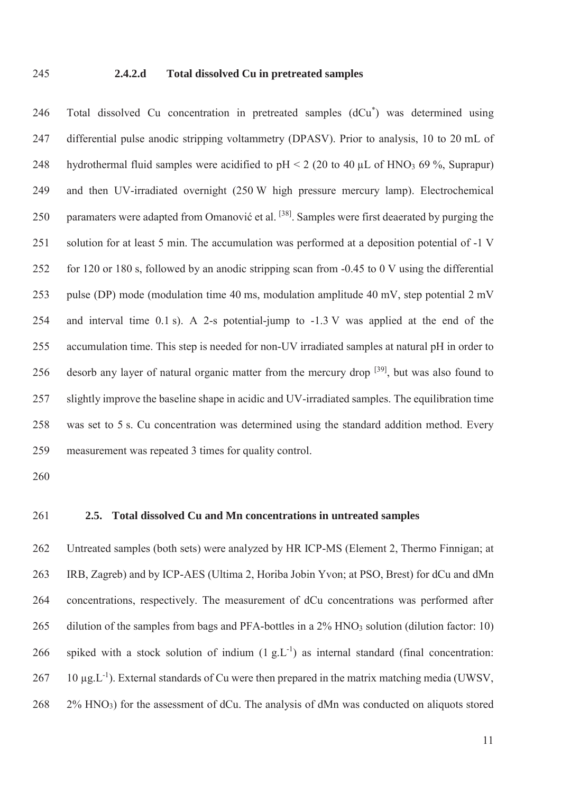#### 245 **2.4.2.d Total dissolved Cu in pretreated samples**

246 Total dissolved Cu concentration in pretreated samples  $(dCu<sup>*</sup>)$  was determined using 247 differential pulse anodic stripping voltammetry (DPASV). Prior to analysis, 10 to 20 mL of 248 hydrothermal fluid samples were acidified to  $pH < 2$  (20 to 40 µL of HNO<sub>3</sub> 69 %, Suprapur) 249 and then UV-irradiated overnight (250 W high pressure mercury lamp). Electrochemical 250 paramaters were adapted from Omanović et al. <sup>[38]</sup>. Samples were first deaerated by purging the 251 solution for at least 5 min. The accumulation was performed at a deposition potential of -1 V 252 for 120 or 180 s, followed by an anodic stripping scan from -0.45 to 0 V using the differential 253 pulse (DP) mode (modulation time 40 ms, modulation amplitude 40 mV, step potential 2 mV 254 and interval time 0.1 s). A 2-s potential-jump to -1.3 V was applied at the end of the 255 accumulation time. This step is needed for non-UV irradiated samples at natural pH in order to 256 desorb any layer of natural organic matter from the mercury drop  $[39]$ , but was also found to 257 slightly improve the baseline shape in acidic and UV-irradiated samples. The equilibration time 258 was set to 5 s. Cu concentration was determined using the standard addition method. Every 259 measurement was repeated 3 times for quality control.

260

#### 261 **2.5. Total dissolved Cu and Mn concentrations in untreated samples**

262 Untreated samples (both sets) were analyzed by HR ICP-MS (Element 2, Thermo Finnigan; at 263 IRB, Zagreb) and by ICP-AES (Ultima 2, Horiba Jobin Yvon; at PSO, Brest) for dCu and dMn 264 concentrations, respectively. The measurement of dCu concentrations was performed after 265 dilution of the samples from bags and PFA-bottles in a 2% HNO<sub>3</sub> solution (dilution factor: 10) 266 spiked with a stock solution of indium  $(1 g_{\text{L}}L^{-1})$  as internal standard (final concentration: 267 10  $\mu$ g.L<sup>-1</sup>). External standards of Cu were then prepared in the matrix matching media (UWSV, 268 2% HNO3) for the assessment of dCu. The analysis of dMn was conducted on aliquots stored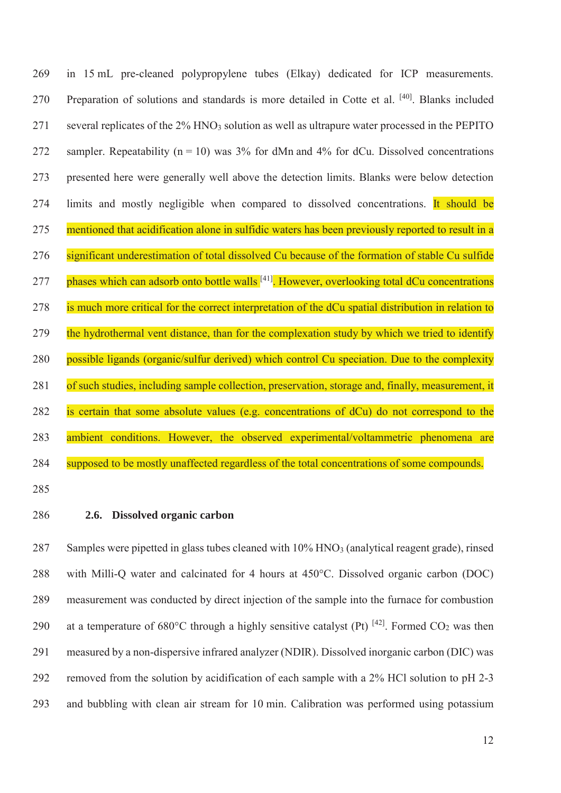269 in 15 mL pre-cleaned polypropylene tubes (Elkay) dedicated for ICP measurements. 270 Preparation of solutions and standards is more detailed in Cotte et al. <sup>[40]</sup> Blanks included 271 several replicates of the 2% HNO<sub>3</sub> solution as well as ultrapure water processed in the PEPITO 272 sampler. Repeatability ( $n = 10$ ) was 3% for dMn and 4% for dCu. Dissolved concentrations 273 presented here were generally well above the detection limits. Blanks were below detection 274 limits and mostly negligible when compared to dissolved concentrations. It should be 275 mentioned that acidification alone in sulfidic waters has been previously reported to result in a 276 significant underestimation of total dissolved Cu because of the formation of stable Cu sulfide 277 phases which can adsorb onto bottle walls <sup>[41]</sup>. However, overlooking total dCu concentrations 278 is much more critical for the correct interpretation of the dCu spatial distribution in relation to 279 the hydrothermal vent distance, than for the complexation study by which we tried to identify 280 possible ligands (organic/sulfur derived) which control Cu speciation. Due to the complexity 281 of such studies, including sample collection, preservation, storage and, finally, measurement, it 282 is certain that some absolute values (e.g. concentrations of dCu) do not correspond to the 283 ambient conditions. However, the observed experimental/voltammetric phenomena are 284 supposed to be mostly unaffected regardless of the total concentrations of some compounds.

285

#### 286 **2.6. Dissolved organic carbon**

287 Samples were pipetted in glass tubes cleaned with 10% HNO3 (analytical reagent grade), rinsed 288 with Milli-Q water and calcinated for 4 hours at 450°C. Dissolved organic carbon (DOC) 289 measurement was conducted by direct injection of the sample into the furnace for combustion 290 at a temperature of 680°C through a highly sensitive catalyst (Pt)  $^{[42]}$ . Formed CO<sub>2</sub> was then 291 measured by a non-dispersive infrared analyzer (NDIR). Dissolved inorganic carbon (DIC) was 292 removed from the solution by acidification of each sample with a 2% HCl solution to pH 2-3 293 and bubbling with clean air stream for 10 min. Calibration was performed using potassium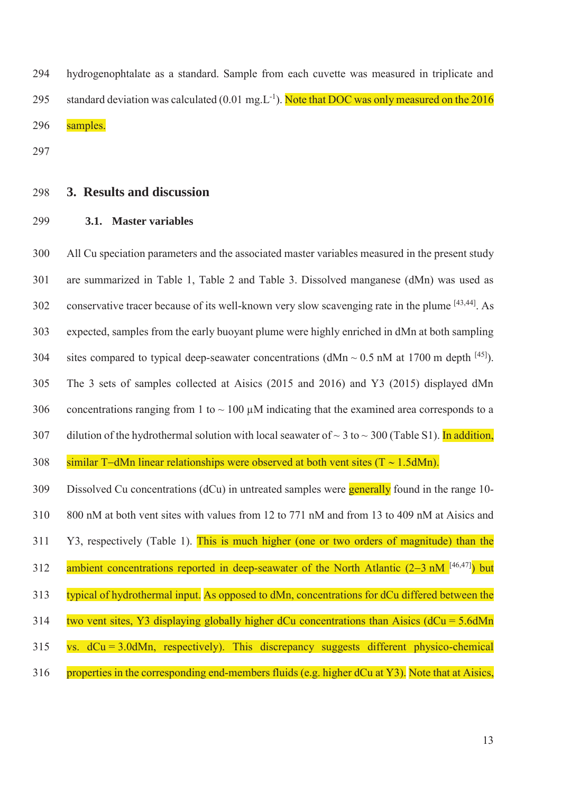294 hydrogenophtalate as a standard. Sample from each cuvette was measured in triplicate and 295 standard deviation was calculated (0.01 mg.  $L^{-1}$ ). Note that DOC was only measured on the 2016 296 samples.

297

# 298 **3. Results and discussion**

299 **3.1. Master variables** 

300 All Cu speciation parameters and the associated master variables measured in the present study 301 are summarized in Table 1, Table 2 and Table 3. Dissolved manganese (dMn) was used as 302 conservative tracer because of its well-known very slow scavenging rate in the plume  $[43,44]$ . As 303 expected, samples from the early buoyant plume were highly enriched in dMn at both sampling 304 sites compared to typical deep-seawater concentrations ( $dMn \sim 0.5$  nM at 1700 m depth  $^{[45]}$ ). 305 The 3 sets of samples collected at Aisics (2015 and 2016) and Y3 (2015) displayed dMn 306 concentrations ranging from 1 to  $\sim$  100  $\mu$ M indicating that the examined area corresponds to a 307 dilution of the hydrothermal solution with local seawater of  $\sim$  3 to  $\sim$  300 (Table S1). In addition, 308 similar T-dMn linear relationships were observed at both vent sites  $(T \sim 1.5dMn)$ . 309 Dissolved Cu concentrations (dCu) in untreated samples were generally found in the range 10- 310 800 nM at both vent sites with values from 12 to 771 nM and from 13 to 409 nM at Aisics and 311 Y3, respectively (Table 1). This is much higher (one or two orders of magnitude) than the 312 ambient concentrations reported in deep-seawater of the North Atlantic  $(2-3 \text{ nM}^{[46,47]})$  but 313 typical of hydrothermal input. As opposed to dMn, concentrations for dCu differed between the 314 two vent sites, Y3 displaying globally higher dCu concentrations than Aisics ( $dCu = 5.6dMn$ ) 315 vs. dCu = 3.0dMn, respectively). This discrepancy suggests different physico-chemical 316 properties in the corresponding end-members fluids (e.g. higher dCu at Y3). Note that at Aisics,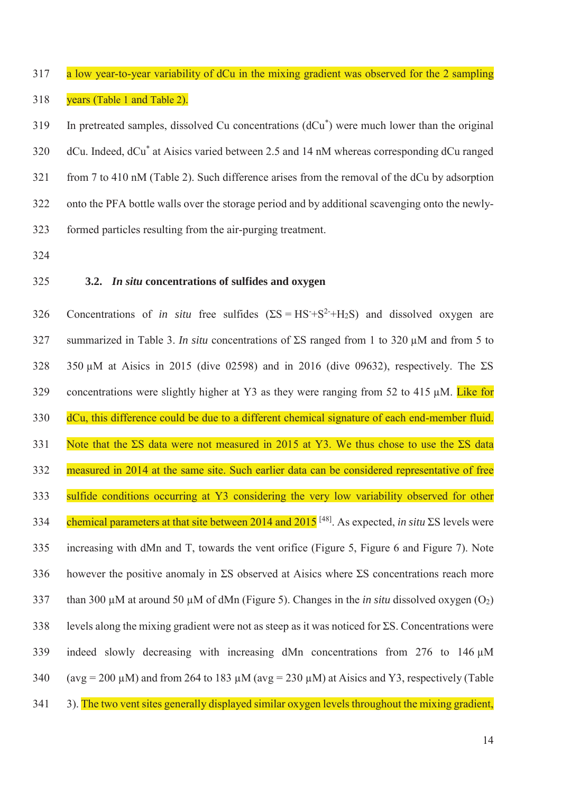317 a low year-to-year variability of dCu in the mixing gradient was observed for the 2 sampling 318 years (Table 1 and Table 2).

 $19$  In pretreated samples, dissolved Cu concentrations  $(dCu<sup>*</sup>)$  were much lower than the original 320 dCu. Indeed, dCu<sup>\*</sup> at Aisics varied between 2.5 and 14 nM whereas corresponding dCu ranged 321 from 7 to 410 nM (Table 2). Such difference arises from the removal of the dCu by adsorption 322 onto the PFA bottle walls over the storage period and by additional scavenging onto the newly-323 formed particles resulting from the air-purging treatment.

324

#### 325 **3.2.** *In situ* **concentrations of sulfides and oxygen**

326 Concentrations of *in situ* free sulfides  $(ES = HS + S^2 + H_2S)$  and dissolved oxygen are 327 summarized in Table 3. *In situ* concentrations of ΣS ranged from 1 to 320 μM and from 5 to 328 350 μM at Aisics in 2015 (dive 02598) and in 2016 (dive 09632), respectively. The  $\Sigma S$ 329 concentrations were slightly higher at Y3 as they were ranging from 52 to 415  $\mu$ M. Like for 330 dCu, this difference could be due to a different chemical signature of each end-member fluid. 331 Note that the ΣS data were not measured in 2015 at Y3. We thus chose to use the ΣS data 332 measured in 2014 at the same site. Such earlier data can be considered representative of free 333 sulfide conditions occurring at Y3 considering the very low variability observed for other chemical parameters at that site between 2014 and 2015 [48] 334 . As expected, *in situ* ΣS levels were 335 increasing with dMn and T, towards the vent orifice (Figure 5, Figure 6 and Figure 7). Note 336 however the positive anomaly in  $\Sigma S$  observed at Aisics where  $\Sigma S$  concentrations reach more 337 than 300 μM at around 50 μM of dMn (Figure 5). Changes in the *in situ* dissolved oxygen (O2) 338 levels along the mixing gradient were not as steep as it was noticed for  $\Sigma S$ . Concentrations were 339 indeed slowly decreasing with increasing dMn concentrations from 276 to 146  $\mu$ M 340 (avg = 200 μM) and from 264 to 183 μM (avg = 230 μM) at Aisics and Y3, respectively (Table 341 3). The two vent sites generally displayed similar oxygen levels throughout the mixing gradient,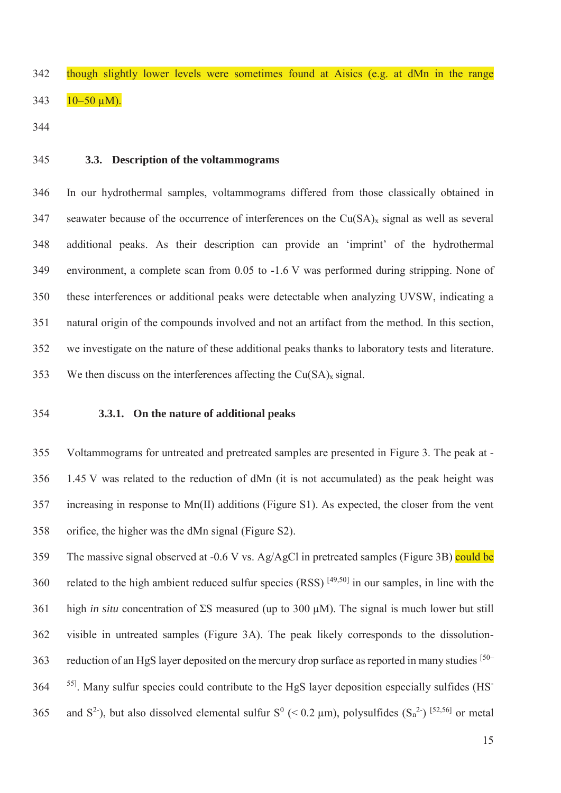- 342 though slightly lower levels were sometimes found at Aisics (e.g. at dMn in the range  $343$   $10-50 \mu M$ ).
- 344
- 

# 345 **3.3. Description of the voltammograms**

346 In our hydrothermal samples, voltammograms differed from those classically obtained in 347 seawater because of the occurrence of interferences on the  $Cu(SA)_x$  signal as well as several 348 additional peaks. As their description can provide an 'imprint' of the hydrothermal 349 environment, a complete scan from 0.05 to -1.6 V was performed during stripping. None of 350 these interferences or additional peaks were detectable when analyzing UVSW, indicating a 351 natural origin of the compounds involved and not an artifact from the method. In this section, 352 we investigate on the nature of these additional peaks thanks to laboratory tests and literature. 353 We then discuss on the interferences affecting the  $Cu(SA)<sub>x</sub>$  signal.

#### 354 **3.3.1. On the nature of additional peaks**

355 Voltammograms for untreated and pretreated samples are presented in Figure 3. The peak at - 356 1.45 V was related to the reduction of dMn (it is not accumulated) as the peak height was 357 increasing in response to Mn(II) additions (Figure S1). As expected, the closer from the vent 358 orifice, the higher was the dMn signal (Figure S2).

359 The massive signal observed at -0.6 V vs. Ag/AgCl in pretreated samples (Figure 3B) could be 360 related to the high ambient reduced sulfur species  $(RSS)$   $[49,50]$  in our samples, in line with the 361 high *in situ* concentration of ΣS measured (up to 300 μM). The signal is much lower but still 362 visible in untreated samples (Figure 3A). The peak likely corresponds to the dissolution-363 reduction of an HgS layer deposited on the mercury drop surface as reported in many studies [50– <sup>55]</sup>. Many sulfur species could contribute to the HgS layer deposition especially sulfides (HS<sup>-</sup> 365 and  $S^2$ ), but also dissolved elemental sulfur  $S^0$  (< 0.2 µm), polysulfides  $(S_n^2)$  [52,56] or metal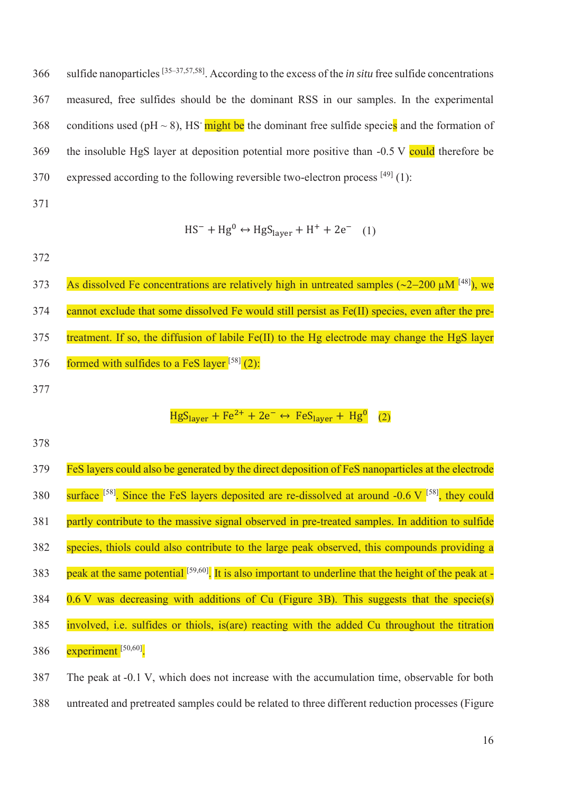sulfide nanoparticles [35–37,57,58] 366 . According to the excess of the *in situ* free sulfide concentrations 367 measured, free sulfides should be the dominant RSS in our samples. In the experimental 368 conditions used (pH  $\sim$  8), HS might be the dominant free sulfide species and the formation of 369 the insoluble HgS layer at deposition potential more positive than -0.5 V could therefore be 370 expressed according to the following reversible two-electron process  $[49]$  (1):

371

$$
HS^- + Hg^0 \leftrightarrow HgS_{layer} + H^+ + 2e^- \quad (1)
$$

372

As dissolved Fe concentrations are relatively high in untreated samples  $(\sim 2-200 \mu M^{[48]})$ , we 374 cannot exclude that some dissolved Fe would still persist as Fe(II) species, even after the pre-375 treatment. If so, the diffusion of labile Fe(II) to the Hg electrode may change the HgS layer 376 formed with sulfides to a FeS layer  $[58]$  (2): 377

# $HgS<sub>layer</sub> + Fe<sup>2+</sup> + 2e^- \leftrightarrow FeS<sub>layer</sub> + Hg<sup>0</sup>$  (2)

| 379 | FeS layers could also be generated by the direct deposition of FeS nanoparticles at the electrode                       |
|-----|-------------------------------------------------------------------------------------------------------------------------|
| 380 | surface <sup>[58]</sup> . Since the FeS layers deposited are re-dissolved at around -0.6 V <sup>[58]</sup> , they could |
| 381 | partly contribute to the massive signal observed in pre-treated samples. In addition to sulfide                         |
| 382 | species, thiols could also contribute to the large peak observed, this compounds providing a                            |
| 383 | peak at the same potential [59,60]. It is also important to underline that the height of the peak at -                  |
| 384 | $0.6$ V was decreasing with additions of Cu (Figure 3B). This suggests that the specie(s)                               |
| 385 | involved, i.e. sulfides or thiols, is(are) reacting with the added Cu throughout the titration                          |
| 386 | experiment $[50, 60]$ .                                                                                                 |
| 387 | The peak at -0.1 V, which does not increase with the accumulation time, observable for both                             |

388 untreated and pretreated samples could be related to three different reduction processes (Figure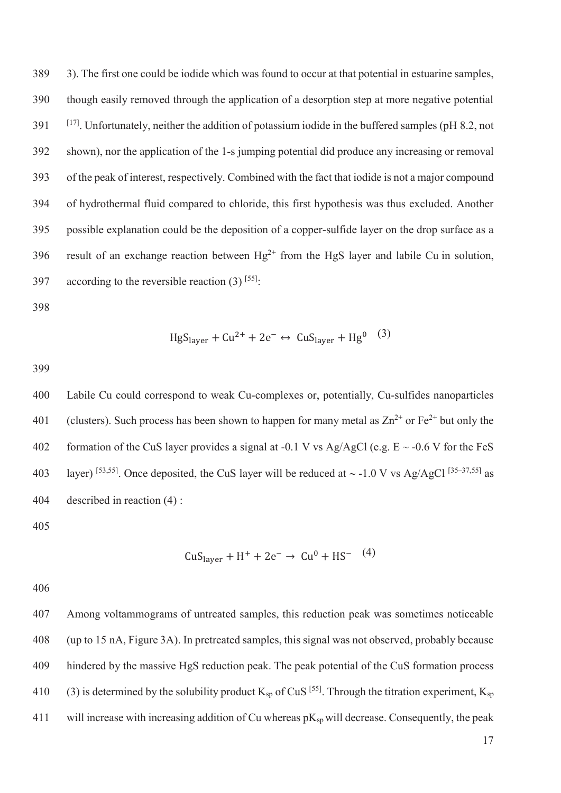389 3). The first one could be iodide which was found to occur at that potential in estuarine samples, 390 though easily removed through the application of a desorption step at more negative potential [17] 391 . Unfortunately, neither the addition of potassium iodide in the buffered samples (pH 8.2, not 392 shown), nor the application of the 1-s jumping potential did produce any increasing or removal 393 of the peak of interest, respectively. Combined with the fact that iodide is not a major compound 394 of hydrothermal fluid compared to chloride, this first hypothesis was thus excluded. Another 395 possible explanation could be the deposition of a copper-sulfide layer on the drop surface as a 396 result of an exchange reaction between  $Hg^{2+}$  from the HgS layer and labile Cu in solution, 397 according to the reversible reaction  $(3)$  [55].

398

$$
HgS_{layer} + Cu^{2+} + 2e^- \leftrightarrow CuS_{layer} + Hg^{0} \quad (3)
$$

399

400 Labile Cu could correspond to weak Cu-complexes or, potentially, Cu-sulfides nanoparticles 401 (clusters). Such process has been shown to happen for many metal as  $\text{Zn}^{2+}$  or Fe<sup>2+</sup> but only the 402 formation of the CuS layer provides a signal at -0.1 V vs Ag/AgCl (e.g.  $E \sim -0.6$  V for the FeS 403 layer) [53,55]. Once deposited, the CuS layer will be reduced at  $\sim$  -1.0 V vs Ag/AgCl [35–37,55] as 404 described in reaction (4) :

405

$$
CuSlayer + H+ + 2e- \rightarrow Cu0 + HS-
$$
 (4)

406

407 Among voltammograms of untreated samples, this reduction peak was sometimes noticeable 408 (up to 15 nA, Figure 3A). In pretreated samples, this signal was not observed, probably because 409 hindered by the massive HgS reduction peak. The peak potential of the CuS formation process 410 (3) is determined by the solubility product  $K_{\text{sp}}$  of CuS <sup>[55]</sup>. Through the titration experiment,  $K_{\text{sp}}$ 411 will increase with increasing addition of Cu whereas  $pK_{sp}$  will decrease. Consequently, the peak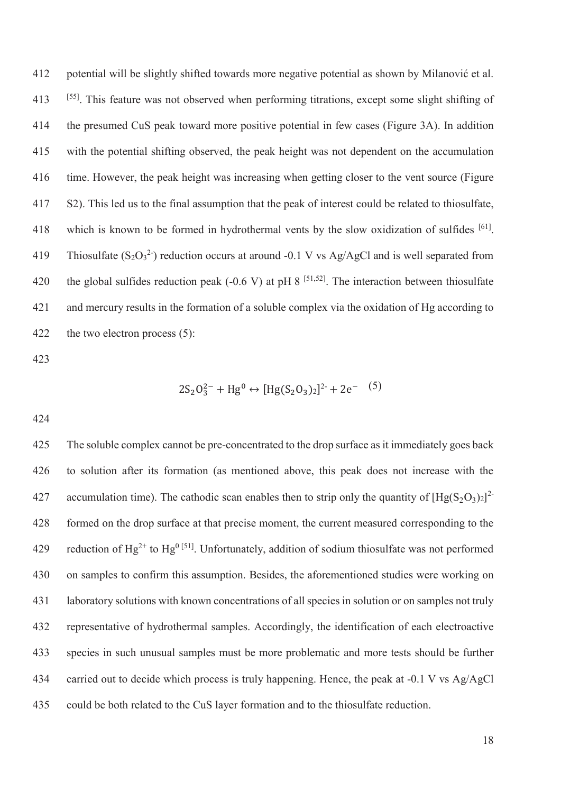412 potential will be slightly shifted towards more negative potential as shown by Milanović et al. [55] 413 . This feature was not observed when performing titrations, except some slight shifting of 414 the presumed CuS peak toward more positive potential in few cases (Figure 3A). In addition 415 with the potential shifting observed, the peak height was not dependent on the accumulation 416 time. However, the peak height was increasing when getting closer to the vent source (Figure 417 S2). This led us to the final assumption that the peak of interest could be related to thiosulfate, 418 which is known to be formed in hydrothermal vents by the slow oxidization of sulfides <sup>[61]</sup>. 419 Thiosulfate  $(S_2O_3^2)$  reduction occurs at around -0.1 V vs Ag/AgCl and is well separated from 420 the global sulfides reduction peak (-0.6 V) at pH 8  $[51,52]$ . The interaction between thiosulfate 421 and mercury results in the formation of a soluble complex via the oxidation of Hg according to 422 the two electron process (5):

423

 $2S_2O_3^{2-} + Hg^0 \leftrightarrow [Hg(S_2O_3)_2]^{2-} + 2e^{-}$  (5)

424

425 The soluble complex cannot be pre-concentrated to the drop surface as it immediately goes back 426 to solution after its formation (as mentioned above, this peak does not increase with the 427 accumulation time). The cathodic scan enables then to strip only the quantity of  $[Hg(S_2O_3)_2]^2$ 428 formed on the drop surface at that precise moment, the current measured corresponding to the 429 reduction of Hg<sup>2+</sup> to Hg<sup>0 [51]</sup>. Unfortunately, addition of sodium thiosulfate was not performed 430 on samples to confirm this assumption. Besides, the aforementioned studies were working on 431 laboratory solutions with known concentrations of all species in solution or on samples not truly 432 representative of hydrothermal samples. Accordingly, the identification of each electroactive 433 species in such unusual samples must be more problematic and more tests should be further 434 carried out to decide which process is truly happening. Hence, the peak at -0.1 V vs Ag/AgCl 435 could be both related to the CuS layer formation and to the thiosulfate reduction.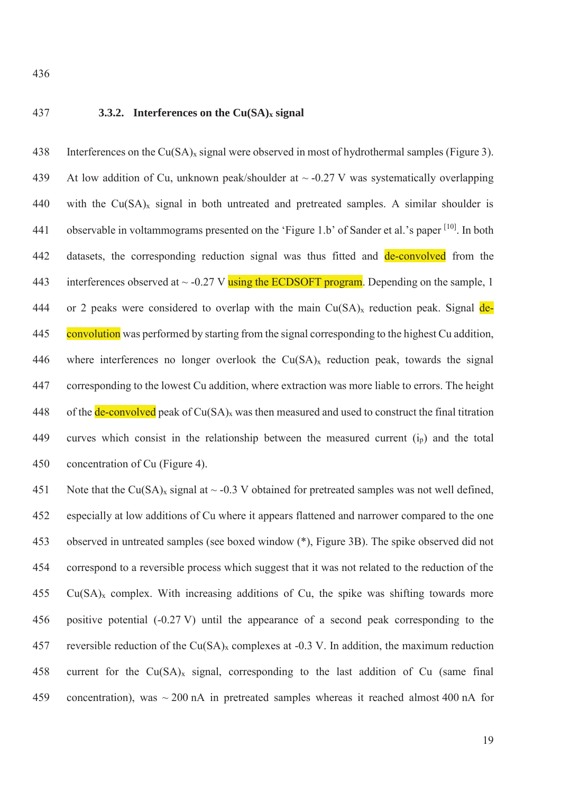# 437 **3.3.2. Interferences on the Cu(SA)x signal**

438 Interferences on the  $Cu(SA)_x$  signal were observed in most of hydrothermal samples (Figure 3). 439 At low addition of Cu, unknown peak/shoulder at  $\sim$  -0.27 V was systematically overlapping 440 with the  $Cu(SA)<sub>x</sub>$  signal in both untreated and pretreated samples. A similar shoulder is 441 observable in voltammograms presented on the 'Figure 1.b' of Sander et al.'s paper <sup>[10]</sup>. In both 442 datasets, the corresponding reduction signal was thus fitted and **de-convolved** from the 443 interferences observed at  $\sim$  -0.27 V using the ECDSOFT program. Depending on the sample, 1 444 or 2 peaks were considered to overlap with the main  $Cu(SA)<sub>x</sub>$  reduction peak. Signal de-445 convolution was performed by starting from the signal corresponding to the highest Cu addition, 446 where interferences no longer overlook the  $Cu(SA)<sub>x</sub>$  reduction peak, towards the signal 447 corresponding to the lowest Cu addition, where extraction was more liable to errors. The height 448 of the de-convolved peak of  $Cu(SA)_x$  was then measured and used to construct the final titration 449 curves which consist in the relationship between the measured current  $(i<sub>p</sub>)$  and the total 450 concentration of Cu (Figure 4).

451 Note that the Cu(SA)<sub>x</sub> signal at  $\sim$  -0.3 V obtained for pretreated samples was not well defined, 452 especially at low additions of Cu where it appears flattened and narrower compared to the one 453 observed in untreated samples (see boxed window (\*), Figure 3B). The spike observed did not 454 correspond to a reversible process which suggest that it was not related to the reduction of the  $455$  Cu(SA)<sub>x</sub> complex. With increasing additions of Cu, the spike was shifting towards more 456 positive potential (-0.27 V) until the appearance of a second peak corresponding to the 457 reversible reduction of the Cu(SA)<sub>x</sub> complexes at -0.3 V. In addition, the maximum reduction 458 current for the  $Cu(SA)<sub>x</sub>$  signal, corresponding to the last addition of Cu (same final 459 concentration), was ~ 200 nA in pretreated samples whereas it reached almost 400 nA for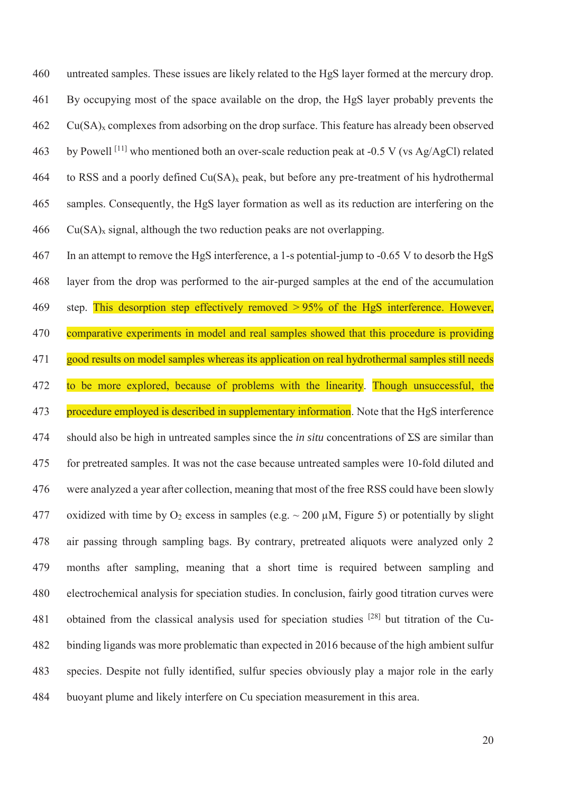460 untreated samples. These issues are likely related to the HgS layer formed at the mercury drop. 461 By occupying most of the space available on the drop, the HgS layer probably prevents the  $462$  Cu(SA)<sub>x</sub> complexes from adsorbing on the drop surface. This feature has already been observed 463 by Powell <sup>[11]</sup> who mentioned both an over-scale reduction peak at  $-0.5$  V (vs Ag/AgCl) related 464 to RSS and a poorly defined  $Cu(SA)_x$  peak, but before any pre-treatment of his hydrothermal 465 samples. Consequently, the HgS layer formation as well as its reduction are interfering on the  $466$  Cu(SA)<sub>x</sub> signal, although the two reduction peaks are not overlapping.

467 In an attempt to remove the HgS interference, a 1-s potential-jump to -0.65 V to desorb the HgS 468 layer from the drop was performed to the air-purged samples at the end of the accumulation 469 step. This desorption step effectively removed > 95% of the HgS interference. However, 470 comparative experiments in model and real samples showed that this procedure is providing 471 good results on model samples whereas its application on real hydrothermal samples still needs 472 to be more explored, because of problems with the linearity. Though unsuccessful, the 473 procedure employed is described in supplementary information. Note that the HgS interference 474 should also be high in untreated samples since the *in situ* concentrations of ΣS are similar than 475 for pretreated samples. It was not the case because untreated samples were 10-fold diluted and 476 were analyzed a year after collection, meaning that most of the free RSS could have been slowly 477 oxidized with time by  $O_2$  excess in samples (e.g.  $\sim$  200 µM, Figure 5) or potentially by slight 478 air passing through sampling bags. By contrary, pretreated aliquots were analyzed only 2 479 months after sampling, meaning that a short time is required between sampling and 480 electrochemical analysis for speciation studies. In conclusion, fairly good titration curves were 481 obtained from the classical analysis used for speciation studies <sup>[28]</sup> but titration of the Cu-482 binding ligands was more problematic than expected in 2016 because of the high ambient sulfur 483 species. Despite not fully identified, sulfur species obviously play a major role in the early 484 buoyant plume and likely interfere on Cu speciation measurement in this area.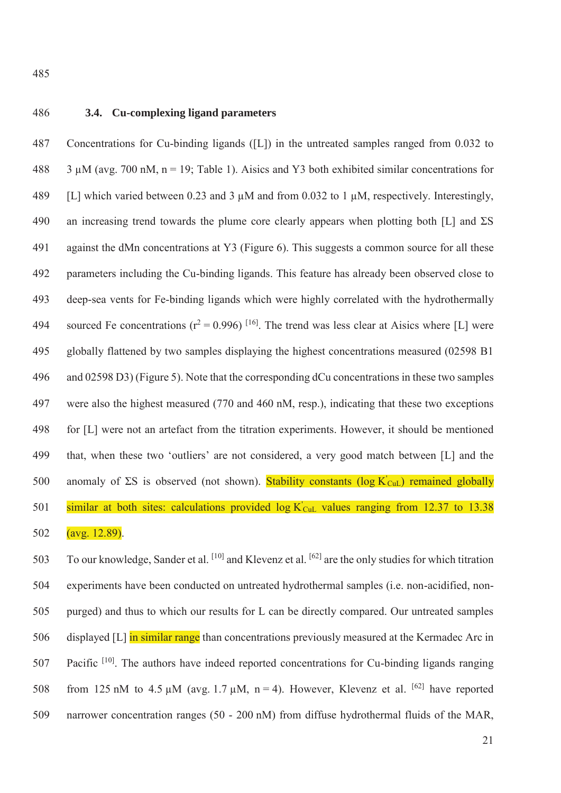# 486 **3.4. Cu-complexing ligand parameters**

487 Concentrations for Cu-binding ligands ([L]) in the untreated samples ranged from 0.032 to 488 3  $\mu$ M (avg. 700 nM, n = 19; Table 1). Aisics and Y3 both exhibited similar concentrations for 489 [L] which varied between 0.23 and 3 μM and from 0.032 to 1 μM, respectively. Interestingly, 490 an increasing trend towards the plume core clearly appears when plotting both [L] and  $\Sigma S$ 491 against the dMn concentrations at Y3 (Figure 6). This suggests a common source for all these 492 parameters including the Cu-binding ligands. This feature has already been observed close to 493 deep-sea vents for Fe-binding ligands which were highly correlated with the hydrothermally 494 sourced Fe concentrations ( $r^2 = 0.996$ ) <sup>[16]</sup>. The trend was less clear at Aisics where [L] were 495 globally flattened by two samples displaying the highest concentrations measured (02598 B1 496 and 02598 D3) (Figure 5). Note that the corresponding dCu concentrations in these two samples 497 were also the highest measured (770 and 460 nM, resp.), indicating that these two exceptions 498 for [L] were not an artefact from the titration experiments. However, it should be mentioned 499 that, when these two 'outliers' are not considered, a very good match between [L] and the 500 anomaly of  $\Sigma S$  is observed (not shown). Stability constants (log K'<sub>CuL</sub>) remained globally 501 similar at both sites: calculations provided  $log K_{\text{CuL}}$  values ranging from 12.37 to 13.38

502 (avg. 12.89).

503 To our knowledge, Sander et al. [10] and Klevenz et al. [62] are the only studies for which titration 504 experiments have been conducted on untreated hydrothermal samples (i.e. non-acidified, non-505 purged) and thus to which our results for L can be directly compared. Our untreated samples 506 displayed [L] in similar range than concentrations previously measured at the Kermadec Arc in 507 . Pacific  $[10]$ . The authors have indeed reported concentrations for Cu-binding ligands ranging 508 from 125 nM to 4.5 uM (avg. 1.7 uM,  $n = 4$ ). However, Klevenz et al. <sup>[62]</sup> have reported 509 narrower concentration ranges (50 - 200 nM) from diffuse hydrothermal fluids of the MAR,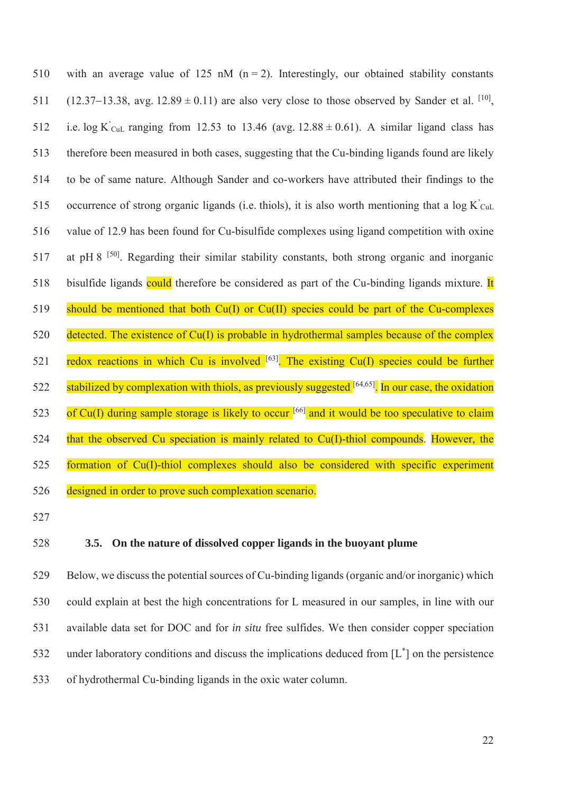510 with an average value of 125 nM  $(n = 2)$ . Interestingly, our obtained stability constants 511 (12.37–13.38, avg. 12.89  $\pm$  0.11) are also very close to those observed by Sander et al. <sup>[10]</sup>, 512 i.e. log K'<sub>CuL</sub> ranging from 12.53 to 13.46 (avg.  $12.88 \pm 0.61$ ). A similar ligand class has 513 therefore been measured in both cases, suggesting that the Cu-binding ligands found are likely 514 to be of same nature. Although Sander and co-workers have attributed their findings to the 515 occurrence of strong organic ligands (i.e. thiols), it is also worth mentioning that a  $\log K_{\text{CuL}}$ 516 value of 12.9 has been found for Cu-bisulfide complexes using ligand competition with oxine 517 at pH 8  $^{[50]}$ . Regarding their similar stability constants, both strong organic and inorganic 518 bisulfide ligands could therefore be considered as part of the Cu-binding ligands mixture. It 519 should be mentioned that both Cu(I) or Cu(II) species could be part of the Cu-complexes 520 detected. The existence of Cu(I) is probable in hydrothermal samples because of the complex 521 redox reactions in which Cu is involved  $[63]$ . The existing Cu(I) species could be further 522 stabilized by complexation with thiols, as previously suggested [64,65]. In our case, the oxidation 523 of Cu(I) during sample storage is likely to occur  $[66]$  and it would be too speculative to claim 524 that the observed Cu speciation is mainly related to Cu(I)-thiol compounds. However, the 525 formation of Cu(I)-thiol complexes should also be considered with specific experiment 526 designed in order to prove such complexation scenario.

527

#### 528 **3.5. On the nature of dissolved copper ligands in the buoyant plume**

529 Below, we discuss the potential sources of Cu-binding ligands (organic and/or inorganic) which 530 could explain at best the high concentrations for L measured in our samples, in line with our 531 available data set for DOC and for *in situ* free sulfides. We then consider copper speciation 532 under laboratory conditions and discuss the implications deduced from  $[L^*]$  on the persistence 533 of hydrothermal Cu-binding ligands in the oxic water column.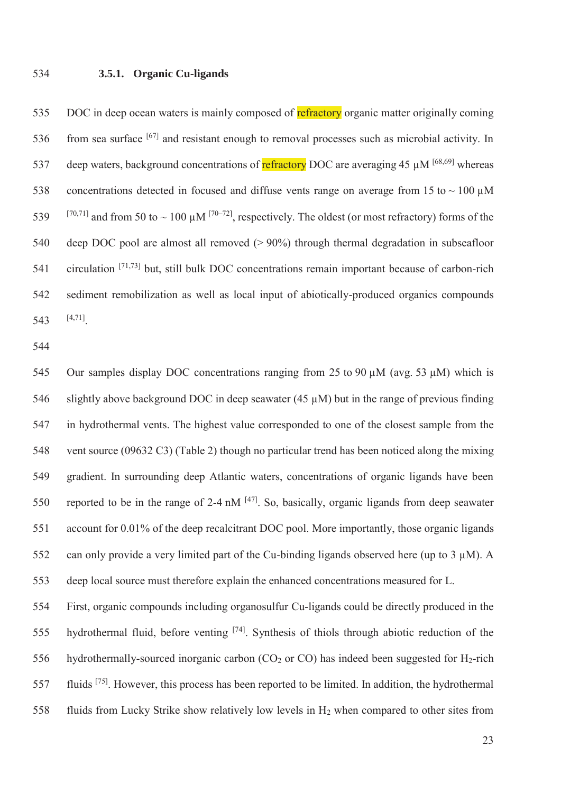#### 534 **3.5.1. Organic Cu-ligands**

535 DOC in deep ocean waters is mainly composed of refractory organic matter originally coming  $536$  from sea surface  $[67]$  and resistant enough to removal processes such as microbial activity. In 537 deep waters, background concentrations of **refractory** DOC are averaging 45  $\mu$ M <sup>[68,69]</sup> whereas 538 concentrations detected in focused and diffuse vents range on average from 15 to  $\sim 100 \mu M$  $[70,71]$  and from 50 to ~ 100 μM  $[70-72]$ , respectively. The oldest (or most refractory) forms of the 540 deep DOC pool are almost all removed (> 90%) through thermal degradation in subseafloor 541 circulation  $[71,73]$  but, still bulk DOC concentrations remain important because of carbon-rich 542 sediment remobilization as well as local input of abiotically-produced organics compounds 543  $[4,71]$ 

544

545 Our samples display DOC concentrations ranging from 25 to 90 μM (avg. 53 μM) which is 546 slightly above background DOC in deep seawater (45 μM) but in the range of previous finding 547 in hydrothermal vents. The highest value corresponded to one of the closest sample from the 548 vent source (09632 C3) (Table 2) though no particular trend has been noticed along the mixing 549 gradient. In surrounding deep Atlantic waters, concentrations of organic ligands have been 550 reported to be in the range of 2-4 nM  $[47]$ . So, basically, organic ligands from deep seawater 551 account for 0.01% of the deep recalcitrant DOC pool. More importantly, those organic ligands 552 can only provide a very limited part of the Cu-binding ligands observed here (up to 3 μM). A 553 deep local source must therefore explain the enhanced concentrations measured for L.

554 First, organic compounds including organosulfur Cu-ligands could be directly produced in the 555 hydrothermal fluid, before venting  $[74]$ . Synthesis of thiols through abiotic reduction of the 556 hydrothermally-sourced inorganic carbon  $(CO<sub>2</sub>$  or  $CO)$  has indeed been suggested for H<sub>2</sub>-rich fluids [75] 557 . However, this process has been reported to be limited. In addition, the hydrothermal 558 fluids from Lucky Strike show relatively low levels in H2 when compared to other sites from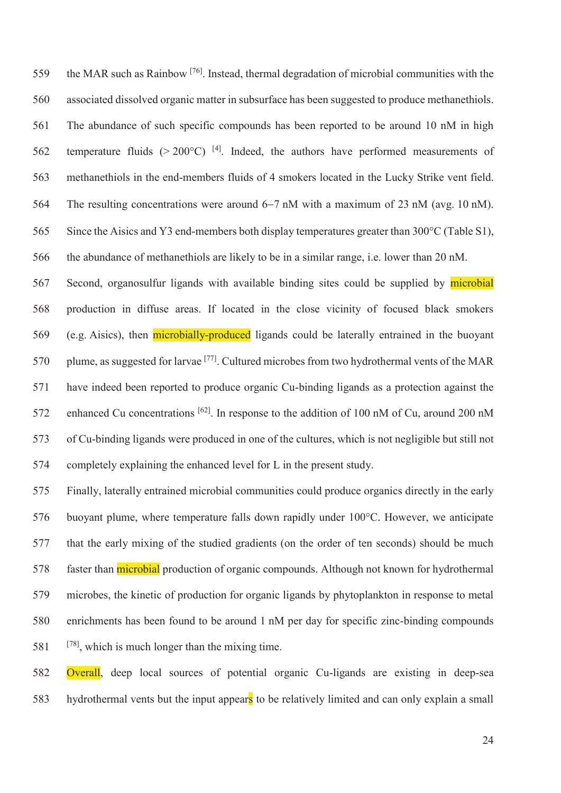559 the MAR such as Rainbow <sup>[76]</sup>. Instead, thermal degradation of microbial communities with the 560 associated dissolved organic matter in subsurface has been suggested to produce methanethiols. 561 The abundance of such specific compounds has been reported to be around 10 nM in high 562 temperature fluids ( $> 200^{\circ}$ C) <sup>[4]</sup>. Indeed, the authors have performed measurements of 563 methanethiols in the end-members fluids of 4 smokers located in the Lucky Strike vent field. 564 The resulting concentrations were around 6–7 nM with a maximum of 23 nM (avg. 10 nM). 565 Since the Aisics and Y3 end-members both display temperatures greater than 300°C (Table S1), 566 the abundance of methanethiols are likely to be in a similar range, i.e. lower than 20 nM.

567 Second, organosulfur ligands with available binding sites could be supplied by microbial 568 production in diffuse areas. If located in the close vicinity of focused black smokers 569 (e.g. Aisics), then microbially-produced ligands could be laterally entrained in the buoyant 570 plume, as suggested for larvae  $^{[77]}$ . Cultured microbes from two hydrothermal vents of the MAR 571 have indeed been reported to produce organic Cu-binding ligands as a protection against the 572 enhanced Cu concentrations <sup>[62]</sup>. In response to the addition of 100 nM of Cu, around 200 nM 573 of Cu-binding ligands were produced in one of the cultures, which is not negligible but still not 574 completely explaining the enhanced level for L in the present study.

575 Finally, laterally entrained microbial communities could produce organics directly in the early 576 buoyant plume, where temperature falls down rapidly under 100°C. However, we anticipate 577 that the early mixing of the studied gradients (on the order of ten seconds) should be much 578 faster than **microbial** production of organic compounds. Although not known for hydrothermal 579 microbes, the kinetic of production for organic ligands by phytoplankton in response to metal 580 enrichments has been found to be around 1 nM per day for specific zinc-binding compounds  $581$  <sup>[78]</sup>, which is much longer than the mixing time.

582 Overall, deep local sources of potential organic Cu-ligands are existing in deep-sea 583 hydrothermal vents but the input appears to be relatively limited and can only explain a small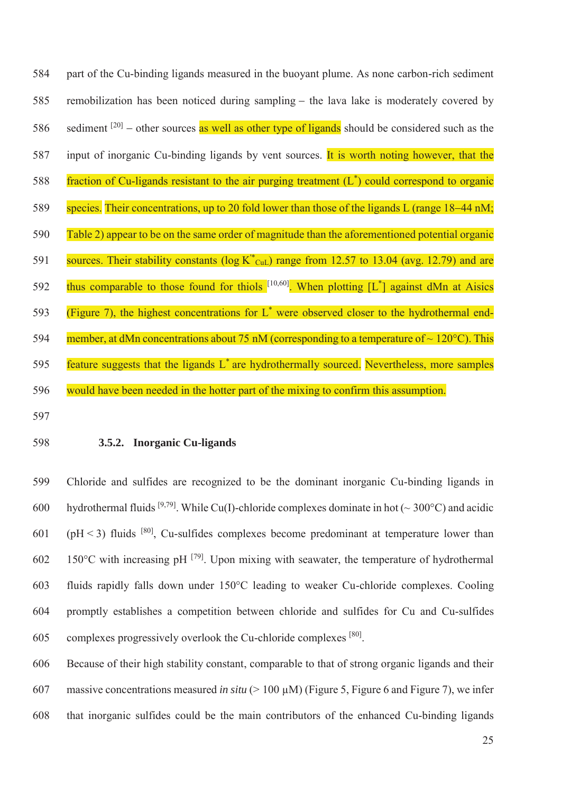584 part of the Cu-binding ligands measured in the buoyant plume. As none carbon-rich sediment 585 remobilization has been noticed during sampling – the lava lake is moderately covered by 586 sediment  $[20]$  – other sources as well as other type of ligands should be considered such as the 587 input of inorganic Cu-binding ligands by vent sources. It is worth noting however, that the 588 fraction of Cu-ligands resistant to the air purging treatment  $(L^*)$  could correspond to organic 589 species. Their concentrations, up to 20 fold lower than those of the ligands L (range  $18-44$  nM; 590 Table 2) appear to be on the same order of magnitude than the aforementioned potential organic 591 sources. Their stability constants ( $\log K^*_{\text{CuL}}$ ) range from 12.57 to 13.04 (avg. 12.79) and are 592 thus comparable to those found for thiols  $[10,60]$ . When plotting  $[L^*]$  against dMn at Aisics 593 (Figure 7), the highest concentrations for  $L^*$  were observed closer to the hydrothermal end-594 member, at dMn concentrations about 75 nM (corresponding to a temperature of  $\sim 120^{\circ}$ C). This 595 feature suggests that the ligands  $L^*$  are hydrothermally sourced. Nevertheless, more samples 596 would have been needed in the hotter part of the mixing to confirm this assumption.

597

#### 598 **3.5.2. Inorganic Cu-ligands**

599 Chloride and sulfides are recognized to be the dominant inorganic Cu-binding ligands in 600 hydrothermal fluids [9,79]. While Cu(I)-chloride complexes dominate in hot ( $\sim$  300°C) and acidic  $(601 \text{ (pH} \leq 3)$  fluids [80]. Cu-sulfides complexes become predominant at temperature lower than 602 150 $^{\circ}$ C with increasing pH  $^{[79]}$ . Upon mixing with seawater, the temperature of hydrothermal 603 fluids rapidly falls down under 150°C leading to weaker Cu-chloride complexes. Cooling 604 promptly establishes a competition between chloride and sulfides for Cu and Cu-sulfides 605 complexes progressively overlook the Cu-chloride complexes  $[80]$ .

606 Because of their high stability constant, comparable to that of strong organic ligands and their 607 massive concentrations measured *in situ* (> 100 μM) (Figure 5, Figure 6 and Figure 7), we infer 608 that inorganic sulfides could be the main contributors of the enhanced Cu-binding ligands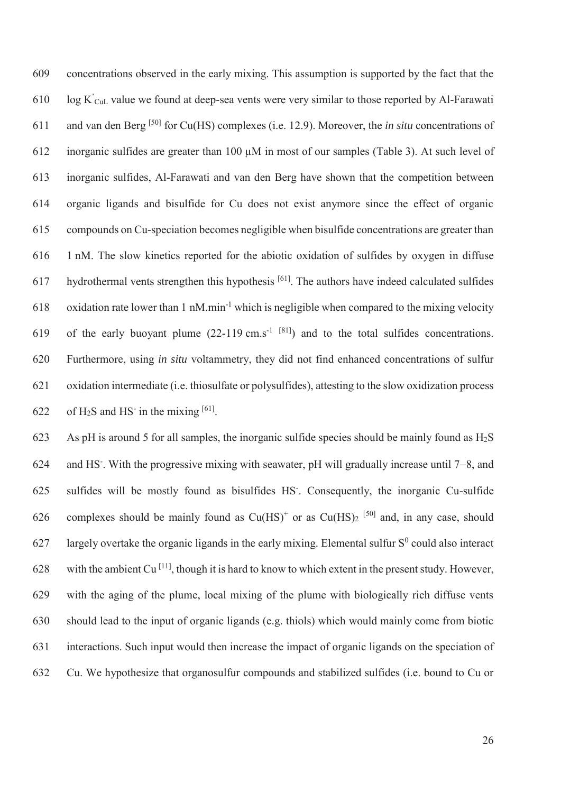609 concentrations observed in the early mixing. This assumption is supported by the fact that the 610  $log K$ <sup> $c_{\text{UL}}$ </sup> value we found at deep-sea vents were very similar to those reported by Al-Farawati and van den Berg [50] 611 for Cu(HS) complexes (i.e. 12.9). Moreover, the *in situ* concentrations of 612 inorganic sulfides are greater than 100 μM in most of our samples (Table 3). At such level of 613 inorganic sulfides, Al-Farawati and van den Berg have shown that the competition between 614 organic ligands and bisulfide for Cu does not exist anymore since the effect of organic 615 compounds on Cu-speciation becomes negligible when bisulfide concentrations are greater than 616 1 nM. The slow kinetics reported for the abiotic oxidation of sulfides by oxygen in diffuse hydrothermal vents strengthen this hypothesis  $[61]$ . The authors have indeed calculated sulfides 618 oxidation rate lower than 1 nM.min<sup>-1</sup> which is negligible when compared to the mixing velocity 619 of the early buoyant plume  $(22-119 \text{ cm.s}^{-1}$  [81]) and to the total sulfides concentrations. 620 Furthermore, using *in situ* voltammetry, they did not find enhanced concentrations of sulfur 621 oxidation intermediate (i.e. thiosulfate or polysulfides), attesting to the slow oxidization process 622 of H<sub>2</sub>S and HS<sup>-</sup> in the mixing  $[61]$ .

623 As pH is around 5 for all samples, the inorganic sulfide species should be mainly found as  $H_2S$ 624 and HS<sup>-</sup>. With the progressive mixing with seawater, pH will gradually increase until  $7-8$ , and sulfides will be mostly found as bisulfides HS- 625 . Consequently, the inorganic Cu-sulfide 626 complexes should be mainly found as  $Cu(HS)^+$  or as  $Cu(HS)_2$  [50] and, in any case, should 627 largely overtake the organic ligands in the early mixing. Elemental sulfur  $S^0$  could also interact 628 with the ambient Cu<sup>[11]</sup>, though it is hard to know to which extent in the present study. However, 629 with the aging of the plume, local mixing of the plume with biologically rich diffuse vents 630 should lead to the input of organic ligands (e.g. thiols) which would mainly come from biotic 631 interactions. Such input would then increase the impact of organic ligands on the speciation of 632 Cu. We hypothesize that organosulfur compounds and stabilized sulfides (i.e. bound to Cu or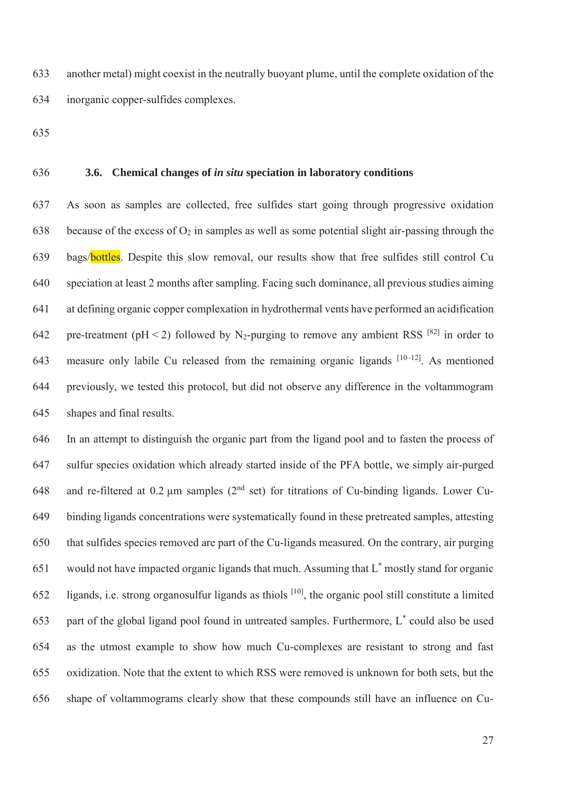633 another metal) might coexist in the neutrally buoyant plume, until the complete oxidation of the 634 inorganic copper-sulfides complexes.

635

#### 636 **3.6. Chemical changes of** *in situ* **speciation in laboratory conditions**

637 As soon as samples are collected, free sulfides start going through progressive oxidation 638 because of the excess of  $O_2$  in samples as well as some potential slight air-passing through the 639 bags/bottles. Despite this slow removal, our results show that free sulfides still control Cu 640 speciation at least 2 months after sampling. Facing such dominance, all previous studies aiming 641 at defining organic copper complexation in hydrothermal vents have performed an acidification 642 pre-treatment (pH < 2) followed by N<sub>2</sub>-purging to remove any ambient RSS <sup>[82]</sup> in order to 643 measure only labile Cu released from the remaining organic ligands  $[10-12]$ . As mentioned 644 previously, we tested this protocol, but did not observe any difference in the voltammogram 645 shapes and final results.

646 In an attempt to distinguish the organic part from the ligand pool and to fasten the process of 647 sulfur species oxidation which already started inside of the PFA bottle, we simply air-purged 648 and re-filtered at 0.2  $\mu$ m samples (2<sup>nd</sup> set) for titrations of Cu-binding ligands. Lower Cu-649 binding ligands concentrations were systematically found in these pretreated samples, attesting 650 that sulfides species removed are part of the Cu-ligands measured. On the contrary, air purging 651 would not have impacted organic ligands that much. Assuming that  $L^*$  mostly stand for organic 652 ligands, i.e. strong organosulfur ligands as thiols  $[10]$ , the organic pool still constitute a limited 653 part of the global ligand pool found in untreated samples. Furthermore,  $L^*$  could also be used 654 as the utmost example to show how much Cu-complexes are resistant to strong and fast 655 oxidization. Note that the extent to which RSS were removed is unknown for both sets, but the 656 shape of voltammograms clearly show that these compounds still have an influence on Cu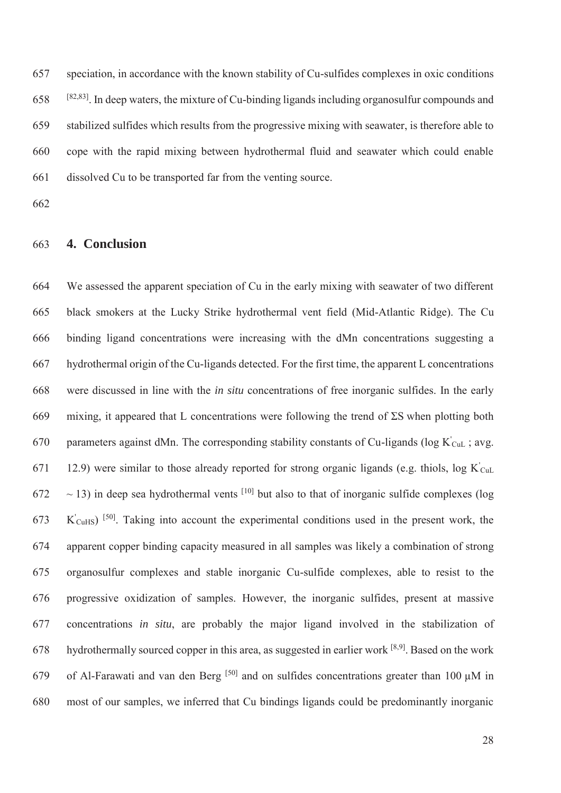657 speciation, in accordance with the known stability of Cu-sulfides complexes in oxic conditions  $658$  <sup>[82,83]</sup>. In deep waters, the mixture of Cu-binding ligands including organosulfur compounds and 659 stabilized sulfides which results from the progressive mixing with seawater, is therefore able to 660 cope with the rapid mixing between hydrothermal fluid and seawater which could enable 661 dissolved Cu to be transported far from the venting source.

662

# 663 **4. Conclusion**

664 We assessed the apparent speciation of Cu in the early mixing with seawater of two different 665 black smokers at the Lucky Strike hydrothermal vent field (Mid-Atlantic Ridge). The Cu 666 binding ligand concentrations were increasing with the dMn concentrations suggesting a 667 hydrothermal origin of the Cu-ligands detected. For the first time, the apparent L concentrations 668 were discussed in line with the *in situ* concentrations of free inorganic sulfides. In the early 669 mixing, it appeared that L concentrations were following the trend of ΣS when plotting both 670 parameters against dMn. The corresponding stability constants of Cu-ligands (log  $K'_{\text{CuL}}$ ; avg. 671 12.9) were similar to those already reported for strong organic ligands (e.g. thiols,  $\log K_{\text{CuL}}$ )  $672 \sim 13$ ) in deep sea hydrothermal vents <sup>[10]</sup> but also to that of inorganic sulfide complexes (log  $K'_{\text{CuHS}}$  [<sup>50]</sup>. Taking into account the experimental conditions used in the present work, the 674 apparent copper binding capacity measured in all samples was likely a combination of strong 675 organosulfur complexes and stable inorganic Cu-sulfide complexes, able to resist to the 676 progressive oxidization of samples. However, the inorganic sulfides, present at massive 677 concentrations *in situ*, are probably the major ligand involved in the stabilization of 678 hydrothermally sourced copper in this area, as suggested in earlier work  $[8,9]$ . Based on the work 679 of Al-Farawati and van den Berg <sup>[50]</sup> and on sulfides concentrations greater than 100  $\mu$ M in 680 most of our samples, we inferred that Cu bindings ligands could be predominantly inorganic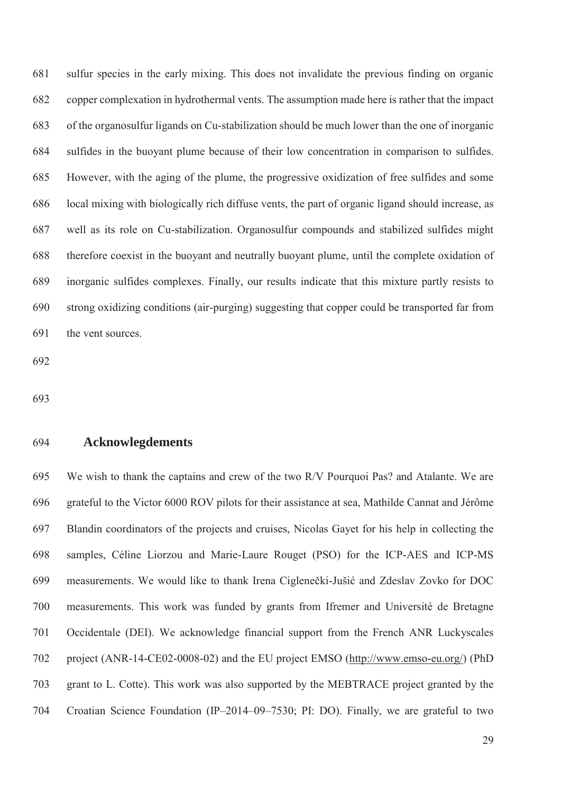681 sulfur species in the early mixing. This does not invalidate the previous finding on organic 682 copper complexation in hydrothermal vents. The assumption made here is rather that the impact 683 of the organosulfur ligands on Cu-stabilization should be much lower than the one of inorganic 684 sulfides in the buoyant plume because of their low concentration in comparison to sulfides. 685 However, with the aging of the plume, the progressive oxidization of free sulfides and some 686 local mixing with biologically rich diffuse vents, the part of organic ligand should increase, as 687 well as its role on Cu-stabilization. Organosulfur compounds and stabilized sulfides might 688 therefore coexist in the buoyant and neutrally buoyant plume, until the complete oxidation of 689 inorganic sulfides complexes. Finally, our results indicate that this mixture partly resists to 690 strong oxidizing conditions (air-purging) suggesting that copper could be transported far from 691 the vent sources.

692

693

#### 694 **Acknowlegdements**

695 We wish to thank the captains and crew of the two R/V Pourquoi Pas? and Atalante. We are 696 grateful to the Victor 6000 ROV pilots for their assistance at sea, Mathilde Cannat and Jérôme 697 Blandin coordinators of the projects and cruises, Nicolas Gayet for his help in collecting the 698 samples, Céline Liorzou and Marie-Laure Rouget (PSO) for the ICP-AES and ICP-MS 699 measurements. We would like to thank Irena Ciglenečki-Jušić and Zdeslav Zovko for DOC 700 measurements. This work was funded by grants from Ifremer and Université de Bretagne 701 Occidentale (DEI). We acknowledge financial support from the French ANR Luckyscales 702 project (ANR-14-CE02-0008-02) and the EU project EMSO (http://www.emso-eu.org/) (PhD 703 grant to L. Cotte). This work was also supported by the MEBTRACE project granted by the 704 Croatian Science Foundation (IP–2014–09–7530; PI: DO). Finally, we are grateful to two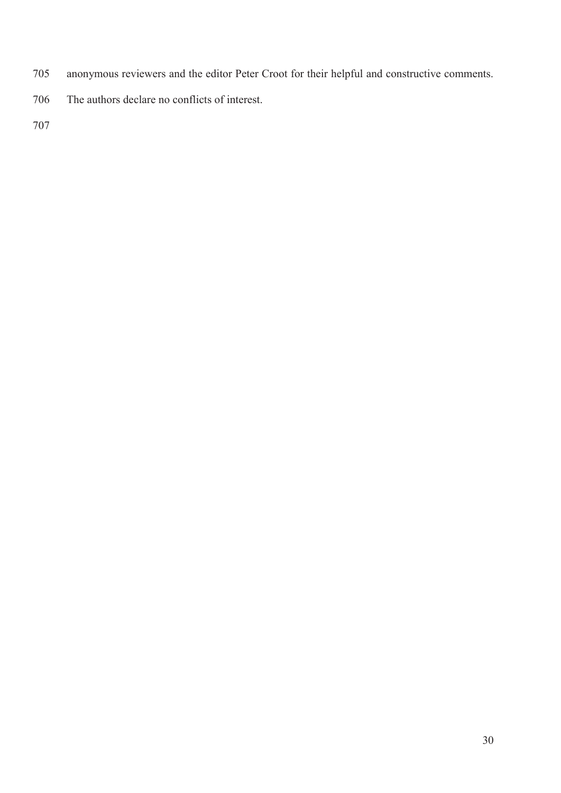- 705 anonymous reviewers and the editor Peter Croot for their helpful and constructive comments.
- 706 The authors declare no conflicts of interest.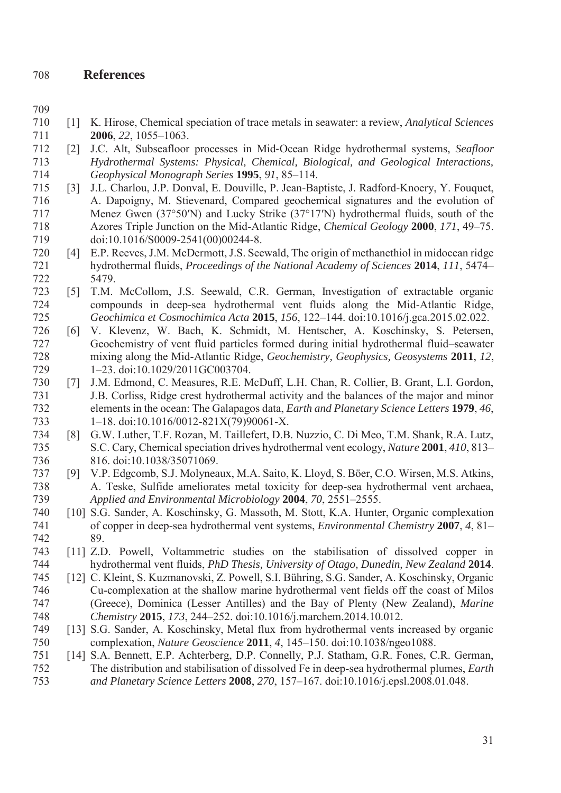# 708 **References**

- 709
- 710 [1] K. Hirose, Chemical speciation of trace metals in seawater: a review, *Analytical Sciences* 711 **2006**, *22*, 1055–1063.
- 712 [2] J.C. Alt, Subseafloor processes in Mid-Ocean Ridge hydrothermal systems, *Seafloor*  713 *Hydrothermal Systems: Physical, Chemical, Biological, and Geological Interactions,*  714 *Geophysical Monograph Series* **1995**, *91*, 85–114.
- 715 [3] J.L. Charlou, J.P. Donval, E. Douville, P. Jean-Baptiste, J. Radford-Knoery, Y. Fouquet, 716 A. Dapoigny, M. Stievenard, Compared geochemical signatures and the evolution of 717 Menez Gwen (37°50′N) and Lucky Strike (37°17′N) hydrothermal fluids, south of the 718 Azores Triple Junction on the Mid-Atlantic Ridge, *Chemical Geology* **2000**, *171*, 49–75. 719 doi:10.1016/S0009-2541(00)00244-8.
- 720 [4] E.P. Reeves, J.M. McDermott, J.S. Seewald, The origin of methanethiol in midocean ridge 721 hydrothermal fluids, *Proceedings of the National Academy of Sciences* **2014**, *111*, 5474– 722 5479.
- 723 [5] T.M. McCollom, J.S. Seewald, C.R. German, Investigation of extractable organic 724 compounds in deep-sea hydrothermal vent fluids along the Mid-Atlantic Ridge, 725 *Geochimica et Cosmochimica Acta* **2015**, *156*, 122–144. doi:10.1016/j.gca.2015.02.022.
- 726 [6] V. Klevenz, W. Bach, K. Schmidt, M. Hentscher, A. Koschinsky, S. Petersen, 727 Geochemistry of vent fluid particles formed during initial hydrothermal fluid–seawater 728 mixing along the Mid-Atlantic Ridge, *Geochemistry, Geophysics, Geosystems* **2011**, *12*, 729 1–23. doi:10.1029/2011GC003704.
- 730 [7] J.M. Edmond, C. Measures, R.E. McDuff, L.H. Chan, R. Collier, B. Grant, L.I. Gordon, 731 J.B. Corliss, Ridge crest hydrothermal activity and the balances of the major and minor 732 elements in the ocean: The Galapagos data, *Earth and Planetary Science Letters* **1979**, *46*, 733 1–18. doi:10.1016/0012-821X(79)90061-X.
- 734 [8] G.W. Luther, T.F. Rozan, M. Taillefert, D.B. Nuzzio, C. Di Meo, T.M. Shank, R.A. Lutz, 735 S.C. Cary, Chemical speciation drives hydrothermal vent ecology, *Nature* **2001**, *410*, 813– 736 816. doi:10.1038/35071069.
- 737 [9] V.P. Edgcomb, S.J. Molyneaux, M.A. Saito, K. Lloyd, S. Böer, C.O. Wirsen, M.S. Atkins, 738 A. Teske, Sulfide ameliorates metal toxicity for deep-sea hydrothermal vent archaea, 739 *Applied and Environmental Microbiology* **2004**, *70*, 2551–2555.
- 740 [10] S.G. Sander, A. Koschinsky, G. Massoth, M. Stott, K.A. Hunter, Organic complexation 741 of copper in deep-sea hydrothermal vent systems, *Environmental Chemistry* **2007**, *4*, 81– 742 89.
- 743 [11] Z.D. Powell, Voltammetric studies on the stabilisation of dissolved copper in 744 hydrothermal vent fluids, *PhD Thesis, University of Otago, Dunedin, New Zealand* **2014**.
- 745 [12] C. Kleint, S. Kuzmanovski, Z. Powell, S.I. Bühring, S.G. Sander, A. Koschinsky, Organic 746 Cu-complexation at the shallow marine hydrothermal vent fields off the coast of Milos 747 (Greece), Dominica (Lesser Antilles) and the Bay of Plenty (New Zealand), *Marine*  748 *Chemistry* **2015**, *173*, 244–252. doi:10.1016/j.marchem.2014.10.012.
- 749 [13] S.G. Sander, A. Koschinsky, Metal flux from hydrothermal vents increased by organic 750 complexation, *Nature Geoscience* **2011**, *4*, 145–150. doi:10.1038/ngeo1088.
- 751 [14] S.A. Bennett, E.P. Achterberg, D.P. Connelly, P.J. Statham, G.R. Fones, C.R. German, 752 The distribution and stabilisation of dissolved Fe in deep-sea hydrothermal plumes, *Earth*  753 *and Planetary Science Letters* **2008**, *270*, 157–167. doi:10.1016/j.epsl.2008.01.048.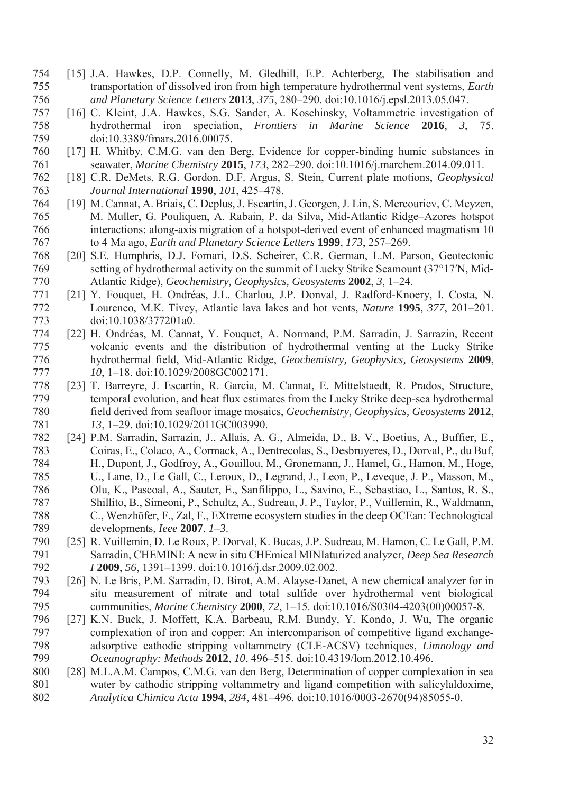- 754 [15] J.A. Hawkes, D.P. Connelly, M. Gledhill, E.P. Achterberg, The stabilisation and 755 transportation of dissolved iron from high temperature hydrothermal vent systems, *Earth*  756 *and Planetary Science Letters* **2013**, *375*, 280–290. doi:10.1016/j.epsl.2013.05.047.
- 757 [16] C. Kleint, J.A. Hawkes, S.G. Sander, A. Koschinsky, Voltammetric investigation of 758 hydrothermal iron speciation, *Frontiers in Marine Science* **2016**, *3*, 75. 759 doi:10.3389/fmars.2016.00075.
- 760 [17] H. Whitby, C.M.G. van den Berg, Evidence for copper-binding humic substances in 761 seawater, *Marine Chemistry* **2015**, *173*, 282–290. doi:10.1016/j.marchem.2014.09.011.
- 762 [18] C.R. DeMets, R.G. Gordon, D.F. Argus, S. Stein, Current plate motions, *Geophysical*  763 *Journal International* **1990**, *101*, 425–478.
- 764 [19] M. Cannat, A. Briais, C. Deplus, J. Escartín, J. Georgen, J. Lin, S. Mercouriev, C. Meyzen, 765 M. Muller, G. Pouliquen, A. Rabain, P. da Silva, Mid-Atlantic Ridge–Azores hotspot 766 interactions: along-axis migration of a hotspot-derived event of enhanced magmatism 10 767 to 4 Ma ago, *Earth and Planetary Science Letters* **1999**, *173*, 257–269.
- 768 [20] S.E. Humphris, D.J. Fornari, D.S. Scheirer, C.R. German, L.M. Parson, Geotectonic 769 setting of hydrothermal activity on the summit of Lucky Strike Seamount (37°17′N, Mid-770 Atlantic Ridge), *Geochemistry, Geophysics, Geosystems* **2002**, *3*, 1–24.
- 771 [21] Y. Fouquet, H. Ondréas, J.L. Charlou, J.P. Donval, J. Radford-Knoery, I. Costa, N. 772 Lourenco, M.K. Tivey, Atlantic lava lakes and hot vents, *Nature* **1995**, *377*, 201–201. 773 doi:10.1038/377201a0.
- 774 [22] H. Ondréas, M. Cannat, Y. Fouquet, A. Normand, P.M. Sarradin, J. Sarrazin, Recent 775 volcanic events and the distribution of hydrothermal venting at the Lucky Strike 776 hydrothermal field, Mid-Atlantic Ridge, *Geochemistry, Geophysics, Geosystems* **2009**, 777 10, 1–18. doi:10.1029/2008GC002171.
- 778 [23] T. Barreyre, J. Escartín, R. Garcia, M. Cannat, E. Mittelstaedt, R. Prados, Structure, 779 temporal evolution, and heat flux estimates from the Lucky Strike deep-sea hydrothermal 780 field derived from seafloor image mosaics, *Geochemistry, Geophysics, Geosystems* **2012**, 781 *13*, 1–29. doi:10.1029/2011GC003990.
- 782 [24] P.M. Sarradin, Sarrazin, J., Allais, A. G., Almeida, D., B. V., Boetius, A., Buffier, E., 783 Coiras, E., Colaco, A., Cormack, A., Dentrecolas, S., Desbruyeres, D., Dorval, P., du Buf, 784 H., Dupont, J., Godfroy, A., Gouillou, M., Gronemann, J., Hamel, G., Hamon, M., Hoge, 785 U., Lane, D., Le Gall, C., Leroux, D., Legrand, J., Leon, P., Leveque, J. P., Masson, M., 786 Olu, K., Pascoal, A., Sauter, E., Sanfilippo, L., Savino, E., Sebastiao, L., Santos, R. S., 787 Shillito, B., Simeoni, P., Schultz, A., Sudreau, J. P., Taylor, P., Vuillemin, R., Waldmann, 788 C., Wenzhöfer, F., Zal, F., EXtreme ecosystem studies in the deep OCEan: Technological 789 developments, *Ieee* **2007**, *1*–*3*.
- 790 [25] R. Vuillemin, D. Le Roux, P. Dorval, K. Bucas, J.P. Sudreau, M. Hamon, C. Le Gall, P.M. 791 Sarradin, CHEMINI: A new in situ CHEmical MINIaturized analyzer, *Deep Sea Research*  792 *I* **2009**, *56*, 1391–1399. doi:10.1016/j.dsr.2009.02.002.
- 793 [26] N. Le Bris, P.M. Sarradin, D. Birot, A.M. Alayse-Danet, A new chemical analyzer for in 794 situ measurement of nitrate and total sulfide over hydrothermal vent biological 795 communities, *Marine Chemistry* **2000**, *72*, 1–15. doi:10.1016/S0304-4203(00)00057-8.
- 796 [27] K.N. Buck, J. Moffett, K.A. Barbeau, R.M. Bundy, Y. Kondo, J. Wu, The organic 797 complexation of iron and copper: An intercomparison of competitive ligand exchange-798 adsorptive cathodic stripping voltammetry (CLE-ACSV) techniques, *Limnology and*  799 *Oceanography: Methods* **2012**, *10*, 496–515. doi:10.4319/lom.2012.10.496.
- 800 [28] M.L.A.M. Campos, C.M.G. van den Berg, Determination of copper complexation in sea 801 water by cathodic stripping voltammetry and ligand competition with salicylaldoxime, 802 *Analytica Chimica Acta* **1994**, *284*, 481–496. doi:10.1016/0003-2670(94)85055-0.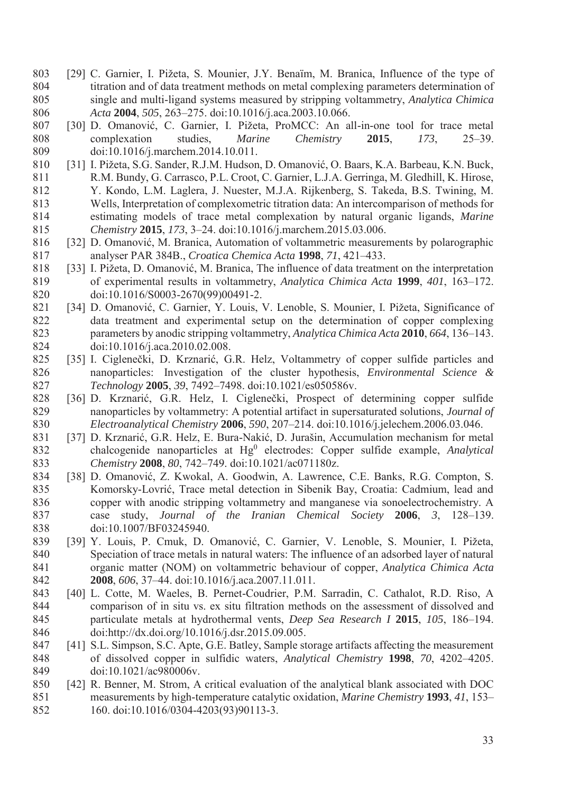- 803 [29] C. Garnier, I. Pižeta, S. Mounier, J.Y. Benaı̈m, M. Branica, Influence of the type of 804 titration and of data treatment methods on metal complexing parameters determination of 805 single and multi-ligand systems measured by stripping voltammetry, *Analytica Chimica*  806 *Acta* **2004**, *505*, 263–275. doi:10.1016/j.aca.2003.10.066.
- 807 [30] D. Omanović, C. Garnier, I. Pižeta, ProMCC: An all-in-one tool for trace metal 808 complexation studies, *Marine Chemistry* **2015**, *173*, 25–39. 809 doi:10.1016/j.marchem.2014.10.011.
- 810 [31] I. Pižeta, S.G. Sander, R.J.M. Hudson, D. Omanović, O. Baars, K.A. Barbeau, K.N. Buck, 811 R.M. Bundy, G. Carrasco, P.L. Croot, C. Garnier, L.J.A. Gerringa, M. Gledhill, K. Hirose, 812 Y. Kondo, L.M. Laglera, J. Nuester, M.J.A. Rijkenberg, S. Takeda, B.S. Twining, M. 813 Wells, Interpretation of complexometric titration data: An intercomparison of methods for 814 estimating models of trace metal complexation by natural organic ligands, *Marine*  815 *Chemistry* **2015**, *173*, 3–24. doi:10.1016/j.marchem.2015.03.006.
- 816 [32] D. Omanović, M. Branica, Automation of voltammetric measurements by polarographic 817 analyser PAR 384B., *Croatica Chemica Acta* **1998**, *71*, 421–433.
- 818 [33] I. Pižeta, D. Omanović, M. Branica, The influence of data treatment on the interpretation 819 of experimental results in voltammetry, *Analytica Chimica Acta* **1999**, *401*, 163–172. 820 doi:10.1016/S0003-2670(99)00491-2.
- 821 [34] D. Omanović, C. Garnier, Y. Louis, V. Lenoble, S. Mounier, I. Pižeta, Significance of 822 data treatment and experimental setup on the determination of copper complexing 823 parameters by anodic stripping voltammetry, *Analytica Chimica Acta* **2010**, *664*, 136–143. 824 doi:10.1016/j.aca.2010.02.008.
- 825 [35] I. Ciglenečki, D. Krznarić, G.R. Helz, Voltammetry of copper sulfide particles and 826 nanoparticles:  Investigation of the cluster hypothesis, *Environmental Science &*  827 *Technology* **2005**, *39*, 7492–7498. doi:10.1021/es050586v.
- 828 [36] D. Krznarić, G.R. Helz, I. Ciglenečki, Prospect of determining copper sulfide 829 nanoparticles by voltammetry: A potential artifact in supersaturated solutions, *Journal of*  830 *Electroanalytical Chemistry* **2006**, *590*, 207–214. doi:10.1016/j.jelechem.2006.03.046.
- 831 [37] D. Krznarić, G.R. Helz, E. Bura-Nakić, D. Jurašin, Accumulation mechanism for metal chalcogenide nanoparticles at Hg0 832 electrodes: Copper sulfide example, *Analytical*  833 *Chemistry* **2008**, *80*, 742–749. doi:10.1021/ac071180z.
- 834 [38] D. Omanović, Z. Kwokal, A. Goodwin, A. Lawrence, C.E. Banks, R.G. Compton, S. 835 Komorsky-Lovrić, Trace metal detection in Sibenik Bay, Croatia: Cadmium, lead and 836 copper with anodic stripping voltammetry and manganese via sonoelectrochemistry. A 837 case study, *Journal of the Iranian Chemical Society* **2006**, *3*, 128–139. 838 doi:10.1007/BF03245940.
- 839 [39] Y. Louis, P. Cmuk, D. Omanović, C. Garnier, V. Lenoble, S. Mounier, I. Pižeta, 840 Speciation of trace metals in natural waters: The influence of an adsorbed layer of natural 841 organic matter (NOM) on voltammetric behaviour of copper, *Analytica Chimica Acta* 842 **2008**, *606*, 37–44. doi:10.1016/j.aca.2007.11.011.
- 843 [40] L. Cotte, M. Waeles, B. Pernet-Coudrier, P.M. Sarradin, C. Cathalot, R.D. Riso, A 844 comparison of in situ vs. ex situ filtration methods on the assessment of dissolved and 845 particulate metals at hydrothermal vents, *Deep Sea Research I* **2015**, *105*, 186–194. 846 doi:http://dx.doi.org/10.1016/j.dsr.2015.09.005.
- 847 [41] S.L. Simpson, S.C. Apte, G.E. Batley, Sample storage artifacts affecting the measurement 848 of dissolved copper in sulfidic waters, *Analytical Chemistry* **1998**, *70*, 4202–4205. 849 doi:10.1021/ac980006v.
- 850 [42] R. Benner, M. Strom, A critical evaluation of the analytical blank associated with DOC 851 measurements by high-temperature catalytic oxidation, *Marine Chemistry* **1993**, *41*, 153– 852 160. doi:10.1016/0304-4203(93)90113-3.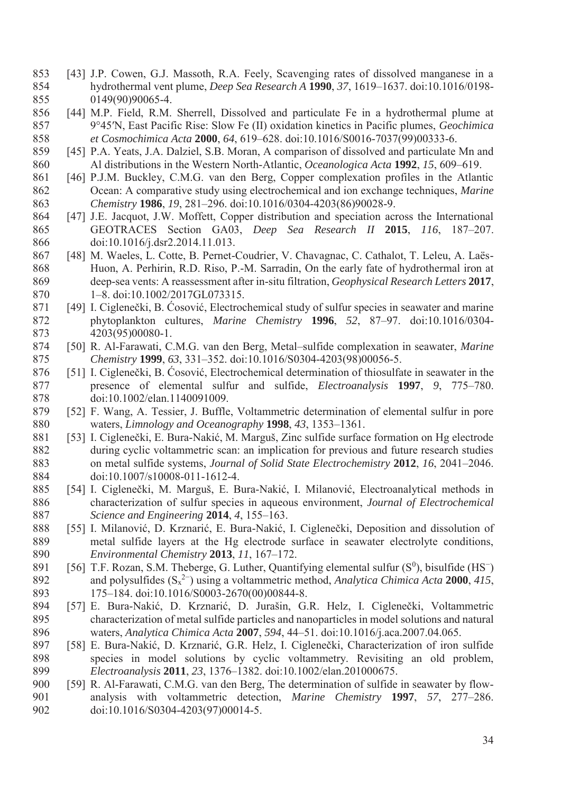- 853 [43] J.P. Cowen, G.J. Massoth, R.A. Feely, Scavenging rates of dissolved manganese in a 854 hydrothermal vent plume, *Deep Sea Research A* **1990**, *37*, 1619–1637. doi:10.1016/0198- 855 0149(90)90065-4.
- 856 [44] M.P. Field, R.M. Sherrell, Dissolved and particulate Fe in a hydrothermal plume at 857 9°45′N, East Pacific Rise: Slow Fe (II) oxidation kinetics in Pacific plumes, *Geochimica*  858 *et Cosmochimica Acta* **2000**, *64*, 619–628. doi:10.1016/S0016-7037(99)00333-6.
- 859 [45] P.A. Yeats, J.A. Dalziel, S.B. Moran, A comparison of dissolved and particulate Mn and 860 Al distributions in the Western North-Atlantic, *Oceanologica Acta* **1992**, *15*, 609–619.
- 861 [46] P.J.M. Buckley, C.M.G. van den Berg, Copper complexation profiles in the Atlantic 862 Ocean: A comparative study using electrochemical and ion exchange techniques, *Marine*  863 *Chemistry* **1986**, *19*, 281–296. doi:10.1016/0304-4203(86)90028-9.
- 864 [47] J.E. Jacquot, J.W. Moffett, Copper distribution and speciation across the International 865 GEOTRACES Section GA03, *Deep Sea Research II* **2015**, *116*, 187–207. 866 doi:10.1016/j.dsr2.2014.11.013.
- 867 [48] M. Waeles, L. Cotte, B. Pernet-Coudrier, V. Chavagnac, C. Cathalot, T. Leleu, A. Laës-868 Huon, A. Perhirin, R.D. Riso, P.-M. Sarradin, On the early fate of hydrothermal iron at 869 deep-sea vents: A reassessment after in-situ filtration, *Geophysical Research Letters* **2017**, 870 1–8. doi:10.1002/2017GL073315.
- 871 [49] I. Ciglenečki, B. Ćosović, Electrochemical study of sulfur species in seawater and marine 872 phytoplankton cultures, *Marine Chemistry* **1996**, *52*, 87–97. doi:10.1016/0304- 873 4203(95)00080-1.
- 874 [50] R. Al-Farawati, C.M.G. van den Berg, Metal–sulfide complexation in seawater, *Marine*  875 *Chemistry* **1999**, *63*, 331–352. doi:10.1016/S0304-4203(98)00056-5.
- 876 [51] I. Ciglenečki, B. Ćosović, Electrochemical determination of thiosulfate in seawater in the 877 presence of elemental sulfur and sulfide, *Electroanalysis* **1997**, *9*, 775–780. 878 doi:10.1002/elan.1140091009.
- 879 [52] F. Wang, A. Tessier, J. Buffle, Voltammetric determination of elemental sulfur in pore 880 waters, *Limnology and Oceanography* **1998**, *43*, 1353–1361.
- 881 [53] I. Ciglenečki, E. Bura-Nakić, M. Marguš, Zinc sulfide surface formation on Hg electrode 882 during cyclic voltammetric scan: an implication for previous and future research studies 883 on metal sulfide systems, *Journal of Solid State Electrochemistry* **2012**, *16*, 2041–2046. 884 doi:10.1007/s10008-011-1612-4.
- 885 [54] I. Ciglenečki, M. Marguš, E. Bura-Nakić, I. Milanović, Electroanalytical methods in 886 characterization of sulfur species in aqueous environment, *Journal of Electrochemical*  887 *Science and Engineering* **2014**, *4*, 155–163.
- 888 [55] I. Milanović, D. Krznarić, E. Bura-Nakić, I. Ciglenečki, Deposition and dissolution of 889 metal sulfide layers at the Hg electrode surface in seawater electrolyte conditions, 890 *Environmental Chemistry* **2013**, *11*, 167–172.
- 891 [56] T.F. Rozan, S.M. Theberge, G. Luther, Quantifying elemental sulfur  $(S<sup>0</sup>)$ , bisulfide (HS<sup>−</sup>) and polysulfides (Sx 2− 892 ) using a voltammetric method, *Analytica Chimica Acta* **2000**, *415*, 893 175–184. doi:10.1016/S0003-2670(00)00844-8.
- 894 [57] E. Bura-Nakić, D. Krznarić, D. Jurašin, G.R. Helz, I. Ciglenečki, Voltammetric 895 characterization of metal sulfide particles and nanoparticles in model solutions and natural 896 waters, *Analytica Chimica Acta* **2007**, *594*, 44–51. doi:10.1016/j.aca.2007.04.065.
- 897 [58] E. Bura-Nakić, D. Krznarić, G.R. Helz, I. Ciglenečki, Characterization of iron sulfide 898 species in model solutions by cyclic voltammetry. Revisiting an old problem, 899 *Electroanalysis* **2011**, *23*, 1376–1382. doi:10.1002/elan.201000675.
- 900 [59] R. Al-Farawati, C.M.G. van den Berg, The determination of sulfide in seawater by flow-901 analysis with voltammetric detection, *Marine Chemistry* **1997**, *57*, 277–286. 902 doi:10.1016/S0304-4203(97)00014-5.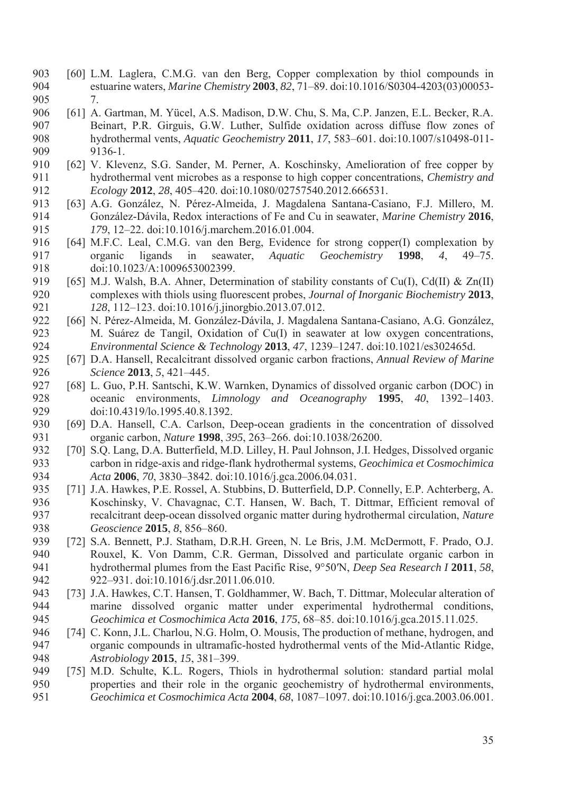- 903 [60] L.M. Laglera, C.M.G. van den Berg, Copper complexation by thiol compounds in 904 estuarine waters, *Marine Chemistry* **2003**, *82*, 71–89. doi:10.1016/S0304-4203(03)00053- 905 7.
- 906 [61] A. Gartman, M. Yücel, A.S. Madison, D.W. Chu, S. Ma, C.P. Janzen, E.L. Becker, R.A. 907 Beinart, P.R. Girguis, G.W. Luther, Sulfide oxidation across diffuse flow zones of 908 hydrothermal vents, *Aquatic Geochemistry* **2011**, *17*, 583–601. doi:10.1007/s10498-011- 909 9136-1.
- 910 [62] V. Klevenz, S.G. Sander, M. Perner, A. Koschinsky, Amelioration of free copper by 911 hydrothermal vent microbes as a response to high copper concentrations, *Chemistry and*  912 *Ecology* **2012**, *28*, 405–420. doi:10.1080/02757540.2012.666531.
- 913 [63] A.G. González, N. Pérez-Almeida, J. Magdalena Santana-Casiano, F.J. Millero, M. 914 González-Dávila, Redox interactions of Fe and Cu in seawater, *Marine Chemistry* **2016**, 915 *179*, 12–22. doi:10.1016/j.marchem.2016.01.004.
- 916 [64] M.F.C. Leal, C.M.G. van den Berg, Evidence for strong copper(I) complexation by 917 organic ligands in seawater, *Aquatic Geochemistry* **1998**, *4*, 49–75. 918 doi:10.1023/A:1009653002399.
- 919 [65] M.J. Walsh, B.A. Ahner, Determination of stability constants of Cu(I), Cd(II) & Zn(II) 920 complexes with thiols using fluorescent probes, *Journal of Inorganic Biochemistry* **2013**, 921 *128*, 112–123. doi:10.1016/j.jinorgbio.2013.07.012.
- 922 [66] N. Pérez-Almeida, M. González-Dávila, J. Magdalena Santana-Casiano, A.G. González, 923 M. Suárez de Tangil, Oxidation of Cu(I) in seawater at low oxygen concentrations, 924 *Environmental Science & Technology* **2013**, *47*, 1239–1247. doi:10.1021/es302465d.
- 925 [67] D.A. Hansell, Recalcitrant dissolved organic carbon fractions, *Annual Review of Marine*  926 *Science* **2013**, *5*, 421–445.
- 927 [68] L. Guo, P.H. Santschi, K.W. Warnken, Dynamics of dissolved organic carbon (DOC) in 928 oceanic environments, *Limnology and Oceanography* **1995**, *40*, 1392–1403. 929 doi:10.4319/lo.1995.40.8.1392.
- 930 [69] D.A. Hansell, C.A. Carlson, Deep-ocean gradients in the concentration of dissolved 931 organic carbon, *Nature* **1998**, *395*, 263–266. doi:10.1038/26200.
- 932 [70] S.Q. Lang, D.A. Butterfield, M.D. Lilley, H. Paul Johnson, J.I. Hedges, Dissolved organic 933 carbon in ridge-axis and ridge-flank hydrothermal systems, *Geochimica et Cosmochimica*  934 *Acta* **2006**, *70*, 3830–3842. doi:10.1016/j.gca.2006.04.031.
- 935 [71] J.A. Hawkes, P.E. Rossel, A. Stubbins, D. Butterfield, D.P. Connelly, E.P. Achterberg, A. 936 Koschinsky, V. Chavagnac, C.T. Hansen, W. Bach, T. Dittmar, Efficient removal of 937 recalcitrant deep-ocean dissolved organic matter during hydrothermal circulation, *Nature*  938 *Geoscience* **2015**, *8*, 856–860.
- 939 [72] S.A. Bennett, P.J. Statham, D.R.H. Green, N. Le Bris, J.M. McDermott, F. Prado, O.J. 940 Rouxel, K. Von Damm, C.R. German, Dissolved and particulate organic carbon in 941 hydrothermal plumes from the East Pacific Rise, 9°50′N, *Deep Sea Research I* **2011**, *58*, 942 922–931. doi:10.1016/j.dsr.2011.06.010.
- 943 [73] J.A. Hawkes, C.T. Hansen, T. Goldhammer, W. Bach, T. Dittmar, Molecular alteration of 944 marine dissolved organic matter under experimental hydrothermal conditions, 945 *Geochimica et Cosmochimica Acta* **2016**, *175*, 68–85. doi:10.1016/j.gca.2015.11.025.
- 946 [74] C. Konn, J.L. Charlou, N.G. Holm, O. Mousis, The production of methane, hydrogen, and 947 organic compounds in ultramafic-hosted hydrothermal vents of the Mid-Atlantic Ridge, 948 *Astrobiology* **2015**, *15*, 381–399.
- 949 [75] M.D. Schulte, K.L. Rogers, Thiols in hydrothermal solution: standard partial molal 950 properties and their role in the organic geochemistry of hydrothermal environments, 951 *Geochimica et Cosmochimica Acta* **2004**, *68*, 1087–1097. doi:10.1016/j.gca.2003.06.001.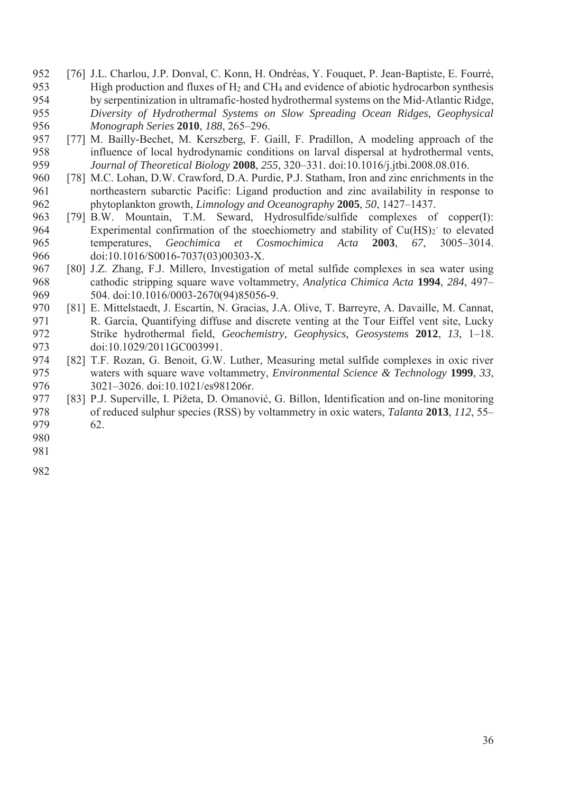- 952 [76] J.L. Charlou, J.P. Donval, C. Konn, H. Ondréas, Y. Fouquet, P. Jean-Baptiste, E. Fourré, 953 High production and fluxes of H2 and CH4 and evidence of abiotic hydrocarbon synthesis 954 by serpentinization in ultramafic-hosted hydrothermal systems on the Mid-Atlantic Ridge, 955 *Diversity of Hydrothermal Systems on Slow Spreading Ocean Ridges, Geophysical*  956 *Monograph Series* **2010**, *188*, 265–296.
- 957 [77] M. Bailly-Bechet, M. Kerszberg, F. Gaill, F. Pradillon, A modeling approach of the 958 influence of local hydrodynamic conditions on larval dispersal at hydrothermal vents, 959 *Journal of Theoretical Biology* **2008**, *255*, 320–331. doi:10.1016/j.jtbi.2008.08.016.
- 960 [78] M.C. Lohan, D.W. Crawford, D.A. Purdie, P.J. Statham, Iron and zinc enrichments in the 961 northeastern subarctic Pacific: Ligand production and zinc availability in response to 962 phytoplankton growth, *Limnology and Oceanography* **2005**, *50*, 1427–1437.
- 963 [79] B.W. Mountain, T.M. Seward, Hydrosulfide/sulfide complexes of copper(I): 964 Experimental confirmation of the stoechiometry and stability of  $Cu(HS)_2$  to elevated 965 temperatures, *Geochimica et Cosmochimica Acta* **2003**, *67*, 3005–3014. 966 doi:10.1016/S0016-7037(03)00303-X.
- 967 [80] J.Z. Zhang, F.J. Millero, Investigation of metal sulfide complexes in sea water using 968 cathodic stripping square wave voltammetry, *Analytica Chimica Acta* **1994**, *284*, 497– 969 504. doi:10.1016/0003-2670(94)85056-9.
- 970 [81] E. Mittelstaedt, J. Escartín, N. Gracias, J.A. Olive, T. Barreyre, A. Davaille, M. Cannat, 971 R. Garcia, Quantifying diffuse and discrete venting at the Tour Eiffel vent site, Lucky 972 Strike hydrothermal field, *Geochemistry, Geophysics, Geosystems* **2012**, *13*, 1–18. 973 doi:10.1029/2011GC003991.
- 974 [82] T.F. Rozan, G. Benoit, G.W. Luther, Measuring metal sulfide complexes in oxic river 975 waters with square wave voltammetry, *Environmental Science & Technology* **1999**, *33*, 976 3021-3026. doi:10.1021/es981206r.
- 977 [83] P.J. Superville, I. Pižeta, D. Omanović, G. Billon, Identification and on-line monitoring 978 of reduced sulphur species (RSS) by voltammetry in oxic waters, *Talanta* **2013**, *112*, 55– 979 62.
- 980
- 981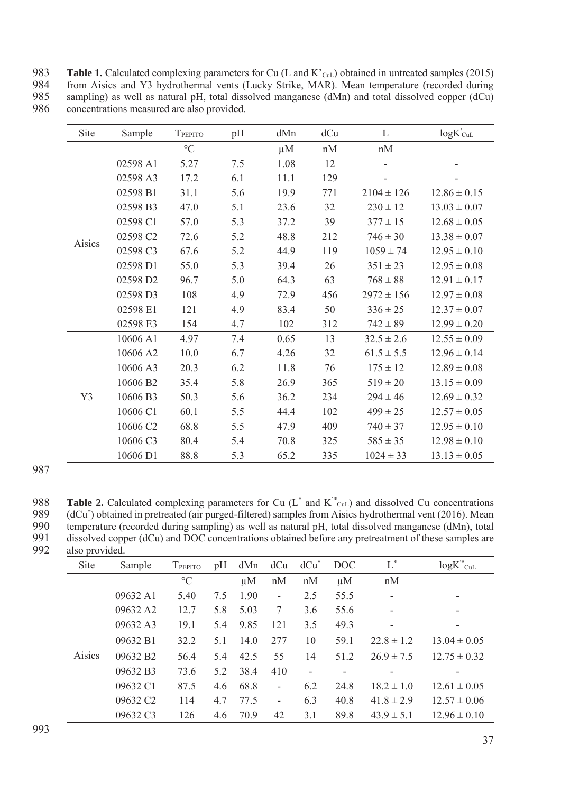983 **Table 1.** Calculated complexing parameters for Cu (L and K'<sub>CuL</sub>) obtained in untreated samples (2015)<br>984 from Aisics and Y3 hydrothermal vents (Lucky Strike, MAR). Mean temperature (recorded during from Aisics and Y3 hydrothermal vents (Lucky Strike, MAR). Mean temperature (recorded during 985 sampling) as well as natural pH, total dissolved manganese (dMn) and total dissolved copper (dCu) concentrations measured are also provided. 986 concentrations measured are also provided.

| Site   | Sample   | TPEPITO         | pH  | dMn     | dCu           | L              | $logK$ <sub>CuL</sub> |
|--------|----------|-----------------|-----|---------|---------------|----------------|-----------------------|
|        |          | $\rm ^{\circ}C$ |     | $\mu$ M | $\mathrm{nM}$ | nM             |                       |
|        | 02598 A1 | 5.27            | 7.5 | 1.08    | 12            |                |                       |
|        | 02598 A3 | 17.2            | 6.1 | 11.1    | 129           |                |                       |
|        | 02598 B1 | 31.1            | 5.6 | 19.9    | 771           | $2104 \pm 126$ | $12.86 \pm 0.15$      |
|        | 02598 B3 | 47.0            | 5.1 | 23.6    | 32            | $230 \pm 12$   | $13.03 \pm 0.07$      |
|        | 02598 C1 | 57.0            | 5.3 | 37.2    | 39            | $377 \pm 15$   | $12.68 \pm 0.05$      |
|        | 02598 C2 | 72.6            | 5.2 | 48.8    | 212           | $746 \pm 30$   | $13.38 \pm 0.07$      |
| Aisics | 02598 C3 | 67.6            | 5.2 | 44.9    | 119           | $1059 \pm 74$  | $12.95 \pm 0.10$      |
|        | 02598 D1 | 55.0            | 5.3 | 39.4    | 26            | $351 \pm 23$   | $12.95 \pm 0.08$      |
|        | 02598 D2 | 96.7            | 5.0 | 64.3    | 63            | $768 \pm 88$   | $12.91 \pm 0.17$      |
|        | 02598 D3 | 108             | 4.9 | 72.9    | 456           | $2972 \pm 156$ | $12.97 \pm 0.08$      |
|        | 02598 E1 | 121             | 4.9 | 83.4    | 50            | $336 \pm 25$   | $12.37 \pm 0.07$      |
|        | 02598 E3 | 154             | 4.7 | 102     | 312           | $742 \pm 89$   | $12.99 \pm 0.20$      |
|        | 10606 A1 | 4.97            | 7.4 | 0.65    | 13            | $32.5 \pm 2.6$ | $12.55 \pm 0.09$      |
|        | 10606 A2 | 10.0            | 6.7 | 4.26    | 32            | $61.5 \pm 5.5$ | $12.96 \pm 0.14$      |
|        | 10606 A3 | 20.3            | 6.2 | 11.8    | 76            | $175 \pm 12$   | $12.89 \pm 0.08$      |
|        | 10606 B2 | 35.4            | 5.8 | 26.9    | 365           | $519 \pm 20$   | $13.15 \pm 0.09$      |
| Y3     | 10606 B3 | 50.3            | 5.6 | 36.2    | 234           | $294 \pm 46$   | $12.69 \pm 0.32$      |
|        | 10606 C1 | 60.1            | 5.5 | 44.4    | 102           | $499 \pm 25$   | $12.57 \pm 0.05$      |
|        | 10606 C2 | 68.8            | 5.5 | 47.9    | 409           | $740 \pm 37$   | $12.95 \pm 0.10$      |
|        | 10606 C3 | 80.4            | 5.4 | 70.8    | 325           | $585 \pm 35$   | $12.98 \pm 0.10$      |
|        | 10606 D1 | 88.8            | 5.3 | 65.2    | 335           | $1024 \pm 33$  | $13.13 \pm 0.05$      |

**Table 2.** Calculated complexing parameters for Cu  $(L^*$  and  $K^*_{\text{Cul}})$  and dissolved Cu concentrations (dCu<sup>\*</sup>) obtained in pretreated (air purged-filtered) samples from Aisics hydrothermal vent (2016). Mean<br>990 temperature (recorded during sampling) as well as natural pH, total dissolved manganese (dMn), total 990 temperature (recorded during sampling) as well as natural pH, total dissolved manganese (dMn), total<br>991 dissolved copper (dCu) and DOC concentrations obtained before any pretreatment of these samples are dissolved copper (dCu) and DOC concentrations obtained before any pretreatment of these samples are

| 992 | also provided. |
|-----|----------------|

| Site   | Sample               | TPEPITO         | pH  | dMn     | dCu                      | $dCu^*$                  | <b>DOC</b> | $L^*$          | $logK^*_{\text{CuL}}$ |
|--------|----------------------|-----------------|-----|---------|--------------------------|--------------------------|------------|----------------|-----------------------|
|        |                      | $\rm ^{\circ}C$ |     | $\mu$ M | nM                       | nM                       | $\mu$ M    | nM             |                       |
| Aisics | 09632 A1             | 5.40            | 7.5 | 1.90    | $\qquad \qquad -$        | 2.5                      | 55.5       | -              |                       |
|        | 09632 A2             | 12.7            | 5.8 | 5.03    | 7                        | 3.6                      | 55.6       | ۰              | ٠                     |
|        | 09632 A3             | 19.1            | 5.4 | 9.85    | 121                      | 3.5                      | 49.3       |                |                       |
|        | 09632 B1             | 32.2            | 5.1 | 14.0    | 277                      | 10                       | 59.1       | $228 \pm 12$   | $13.04 \pm 0.05$      |
|        | 09632 B <sub>2</sub> | 56.4            | 5.4 | 42.5    | 55                       | 14                       | 51.2       | $26.9 \pm 7.5$ | $12.75 \pm 0.32$      |
|        | 09632 B3             | 73.6            | 5.2 | 38.4    | 410                      | $\overline{\phantom{0}}$ |            |                |                       |
|        | 09632 C1             | 87.5            | 4.6 | 68.8    | $\overline{\phantom{a}}$ | 6.2                      | 24.8       | $18.2 \pm 1.0$ | $12.61 \pm 0.05$      |
|        | 09632 C <sub>2</sub> | 114             | 4.7 | 77.5    | ۰                        | 6.3                      | 40.8       | $41.8 \pm 2.9$ | $12.57 \pm 0.06$      |
|        | 09632 C3             | 126             | 4.6 | 70.9    | 42                       | 3.1                      | 89.8       | $43.9 \pm 5.1$ | $12.96 \pm 0.10$      |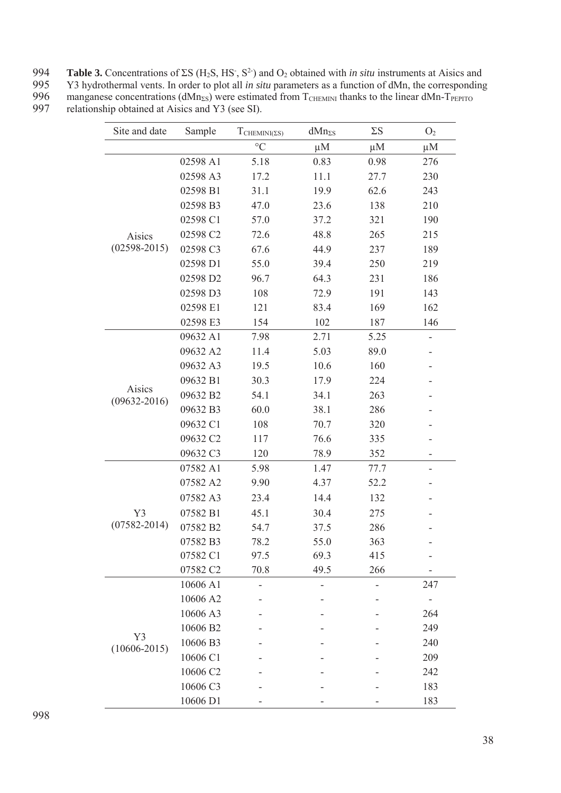| 995<br>996<br>manganese concentrations ( $dMn_{\rm SS}$ ) were estimated from $T_{\rm CHEMMI}$ thanks to the linear $dMn-T_{\rm PEPTO}$ | 994 | <b>Table 3.</b> Concentrations of $\Sigma S$ (H <sub>2</sub> S, HS <sup>-</sup> , S <sup>2</sup> ) and O <sub>2</sub> obtained with <i>in situ</i> instruments at Aisics and |
|-----------------------------------------------------------------------------------------------------------------------------------------|-----|------------------------------------------------------------------------------------------------------------------------------------------------------------------------------|
|                                                                                                                                         |     | Y3 hydrothermal vents. In order to plot all <i>in situ</i> parameters as a function of dMn, the corresponding                                                                |
|                                                                                                                                         |     |                                                                                                                                                                              |
| 997<br>relationship obtained at Aisics and Y3 (see SI).                                                                                 |     |                                                                                                                                                                              |

| Site and date              | Sample   | $T_{\text{CHEMINI}(ES)}$ | $dMn_{\Sigma S}$ | $\Sigma S$ | O <sub>2</sub>           |
|----------------------------|----------|--------------------------|------------------|------------|--------------------------|
|                            |          | $\rm ^{\circ}C$          | $\mu$ M          | $\mu$ M    | $\mu$ M                  |
|                            | 02598 A1 | 5.18                     | 0.83             | 0.98       | 276                      |
|                            | 02598 A3 | 17.2                     | 11.1             | 27.7       | 230                      |
|                            | 02598 B1 | 31.1                     | 19.9             | 62.6       | 243                      |
|                            | 02598 B3 | 47.0                     | 23.6             | 138        | 210                      |
|                            | 02598 C1 | 57.0                     | 37.2             | 321        | 190                      |
| Aisics                     | 02598 C2 | 72.6                     | 48.8             | 265        | 215                      |
| $(02598 - 2015)$           | 02598 C3 | 67.6                     | 44.9             | 237        | 189                      |
|                            | 02598 D1 | 55.0                     | 39.4             | 250        | 219                      |
|                            | 02598 D2 | 96.7                     | 64.3             | 231        | 186                      |
|                            | 02598 D3 | 108                      | 72.9             | 191        | 143                      |
|                            | 02598 E1 | 121                      | 83.4             | 169        | 162                      |
|                            | 02598 E3 | 154                      | 102              | 187        | 146                      |
|                            | 09632 A1 | 7.98                     | 2.71             | 5.25       |                          |
|                            | 09632 A2 | 11.4                     | 5.03             | 89.0       |                          |
|                            | 09632 A3 | 19.5                     | 10.6             | 160        |                          |
|                            | 09632 B1 | 30.3                     | 17.9             | 224        |                          |
| Aisics<br>$(09632 - 2016)$ | 09632 B2 | 54.1                     | 34.1             | 263        |                          |
|                            | 09632 B3 | 60.0                     | 38.1             | 286        |                          |
|                            | 09632 C1 | 108                      | 70.7             | 320        |                          |
|                            | 09632 C2 | 117                      | 76.6             | 335        |                          |
|                            | 09632 C3 | 120                      | 78.9             | 352        | ۰                        |
|                            | 07582 A1 | 5.98                     | 1.47             | 77.7       | $\overline{\phantom{a}}$ |
|                            | 07582 A2 | 9.90                     | 4.37             | 52.2       |                          |
|                            | 07582 A3 | 23.4                     | 14.4             | 132        |                          |
| Y3                         | 07582 B1 | 45.1                     | 30.4             | 275        |                          |
| $(07582 - 2014)$           | 07582 B2 | 54.7                     | 37.5             | 286        |                          |
|                            | 07582 B3 | 78.2                     | 55.0             | 363        |                          |
|                            | 07582 C1 | 97.5                     | 69.3             | 415        |                          |
|                            | 07582 C2 | 70.8                     | 49.5             | 266        |                          |
|                            | 10606 A1 |                          |                  |            | 247                      |
|                            | 10606 A2 |                          |                  |            |                          |
|                            | 10606 A3 |                          |                  |            | 264                      |
|                            | 10606 B2 |                          |                  |            | 249                      |
| Y3<br>$(10606 - 2015)$     | 10606 B3 |                          |                  |            | 240                      |
|                            | 10606 C1 |                          |                  |            | 209                      |
|                            | 10606 C2 |                          |                  |            | 242                      |
|                            | 10606 C3 |                          |                  |            | 183                      |
|                            | 10606 D1 |                          |                  |            | 183                      |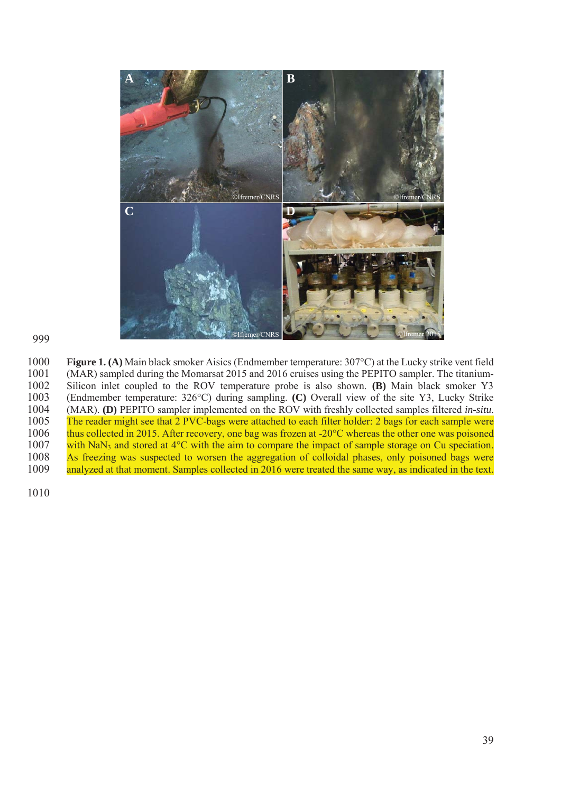

1000 **Figure 1. (A)** Main black smoker Aisics (Endmember temperature: 307°C) at the Lucky strike vent field 1001 (MAR) sampled during the Momarsat 2015 and 2016 cruises using the PEPITO sampler. The titanium-1001 (MAR) sampled during the Momarsat 2015 and 2016 cruises using the PEPITO sampler. The titanium-<br>1002 Silicon inlet coupled to the ROV temperature probe is also shown. (B) Main black smoker Y3 1002 Silicon inlet coupled to the ROV temperature probe is also shown. **(B)** Main black smoker Y3 (Endmember temperature: 326°C) during sampling. **(C)** Overall view of the site Y3, Lucky Strike 1003 (Endmember temperature: 326°C) during sampling. **(C)** Overall view of the site Y3, Lucky Strike 1004 (MAR). **(D)** PEPITO sampler implemented on the ROV with freshly collected samples filtered *in-situ*. The reader might see that 2 PVC-bags were attached to each filter holder: 2 bags for each sample were 1006 thus collected in 2015. After recovery, one bag was frozen at -20°C whereas the other one was poisoned 1007 with NaN<sub>3</sub> and stored at 4<sup>o</sup>C with the aim to compare the impact of sample storage on Cu speciation. 1008 As freezing was suspected to worsen the aggregation of colloidal phases, only poisoned bags were<br>1009 analyzed at that moment. Samples collected in 2016 were treated the same way, as indicated in the text. analyzed at that moment. Samples collected in 2016 were treated the same way, as indicated in the text.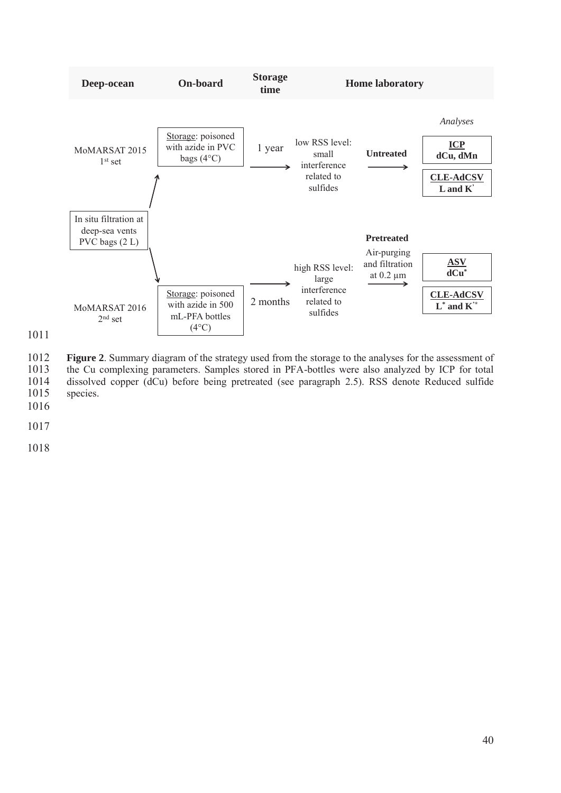

1011

1012 **Figure 2**. Summary diagram of the strategy used from the storage to the analyses for the assessment of 1013 the Cu complexing parameters. Samples stored in PFA-bottles were also analyzed by ICP for total 1013 the Cu complexing parameters. Samples stored in PFA-bottles were also analyzed by ICP for total dissolved copper (dCu) before being pretreated (see paragraph 2.5). RSS denote Reduced sulfide 1014 dissolved copper (dCu) before being pretreated (see paragraph 2.5). RSS denote Reduced sulfide species.

1017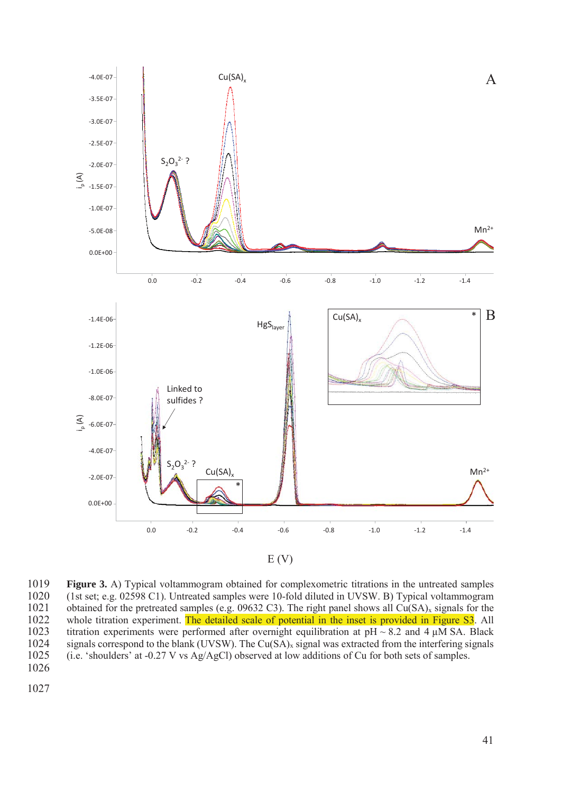

1019 **Figure 3.** A) Typical voltammogram obtained for complexometric titrations in the untreated samples 1020 (1st set; e.g. 02598 C1). Untreated samples were 10-fold diluted in UVSW. B) Typical voltammogram 1020 (1st set; e.g. 02598 C1). Untreated samples were 10-fold diluted in UVSW. B) Typical voltammogram<br>1021 obtained for the pretreated samples (e.g. 09632 C3). The right panel shows all Cu(SA)<sub>x</sub> signals for the obtained for the pretreated samples (e.g. 09632 C3). The right panel shows all  $Cu(SA)<sub>x</sub>$  signals for the 1022 whole titration experiment. The detailed scale of potential in the inset is provided in Figure S3. All 1023 titration experiments were performed after overnight equilibration at  $pH \sim 8.2$  and 4  $\mu$ M SA. Black 1024 signals correspond to the blank (UVSW). The Cu(SA)<sub>x</sub> signal was extracted from the interfering signals 1025 (i.e. 'shoulders' at -0.27 V vs Ag/AgCl) observed at low additions of Cu for both sets of samples. (i.e. 'shoulders' at -0.27 V vs Ag/AgCl) observed at low additions of Cu for both sets of samples. 1026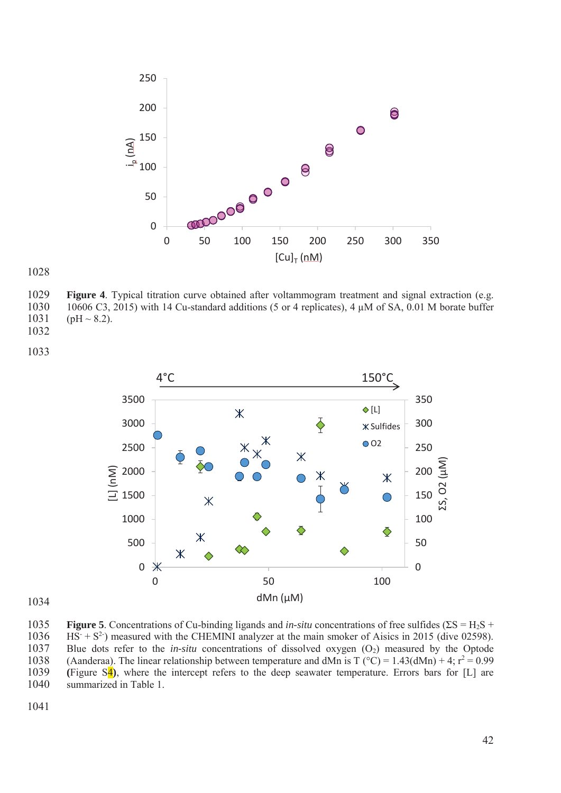

**Figure 4**. Typical titration curve obtained after voltammogram treatment and signal extraction (e.g. 1030 10606 C3, 2015) with 14 Cu-standard additions (5 or 4 replicates), 4  $\mu$ M of SA, 0.01 M borate buffer 1031 (pH ~ 8.2).  $(pH \sim 8.2)$ . 



**Figure 5**. Concentrations of Cu-binding ligands and *in-situ* concentrations of free sulfides (ΣS = H2S + 1036 HS<sup>-</sup> + S<sup>2-</sup>) measured with the CHEMINI analyzer at the main smoker of Aisics in 2015 (dive 02598). 1037 Blue dots refer to the *in-situ* concentrations of dissolved oxygen (O<sub>2</sub>) measured by the Optode 1038 (Aanderaa). The linear relationship between temperature and dMn is T ( $^{\circ}$ C) = 1.43(dMn) + 4; r<sup>2</sup> = 0.99 **(**Figure S4**)**, where the intercept refers to the deep seawater temperature. Errors bars for [L] are summarized in Table 1.